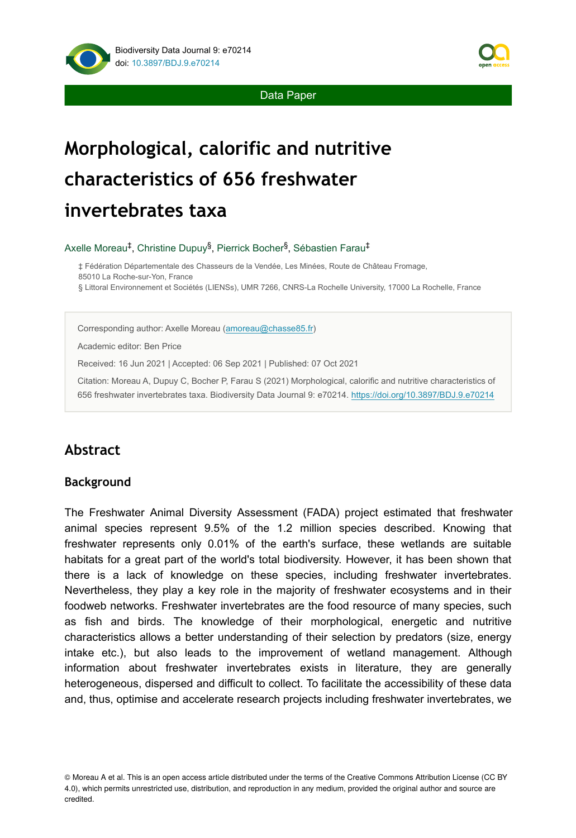

Data Paper

# **Morphological, calorific and nutritive characteristics of 656 freshwater invertebrates taxa**

Axelle Moreau<sup>‡</sup>, Christine Dupuy<sup>§</sup>, Pierrick Bocher<sup>§</sup>, Sébastien Farau<sup>‡</sup>

‡ Fédération Départementale des Chasseurs de la Vendée, Les Minées, Route de Château Fromage, 85010 La Roche-sur-Yon, France § Littoral Environnement et Sociétés (LIENSs), UMR 7266, CNRS-La Rochelle University, 17000 La Rochelle, France

Corresponding author: Axelle Moreau [\(amoreau@chasse85.fr](mailto:amoreau@chasse85.fr))

Academic editor: Ben Price

Received: 16 Jun 2021 | Accepted: 06 Sep 2021 | Published: 07 Oct 2021

Citation: Moreau A, Dupuy C, Bocher P, Farau S (2021) Morphological, calorific and nutritive characteristics of 656 freshwater invertebrates taxa. Biodiversity Data Journal 9: e70214. <https://doi.org/10.3897/BDJ.9.e70214>

# **Abstract**

### **Background**

The Freshwater Animal Diversity Assessment (FADA) project estimated that freshwater animal species represent 9.5% of the 1.2 million species described. Knowing that freshwater represents only 0.01% of the earth's surface, these wetlands are suitable habitats for a great part of the world's total biodiversity. However, it has been shown that there is a lack of knowledge on these species, including freshwater invertebrates. Nevertheless, they play a key role in the majority of freshwater ecosystems and in their foodweb networks. Freshwater invertebrates are the food resource of many species, such as fish and birds. The knowledge of their morphological, energetic and nutritive characteristics allows a better understanding of their selection by predators (size, energy intake etc.), but also leads to the improvement of wetland management. Although information about freshwater invertebrates exists in literature, they are generally heterogeneous, dispersed and difficult to collect. To facilitate the accessibility of these data and, thus, optimise and accelerate research projects including freshwater invertebrates, we

© Moreau A et al. This is an open access article distributed under the terms of the Creative Commons Attribution License (CC BY 4.0), which permits unrestricted use, distribution, and reproduction in any medium, provided the original author and source are credited.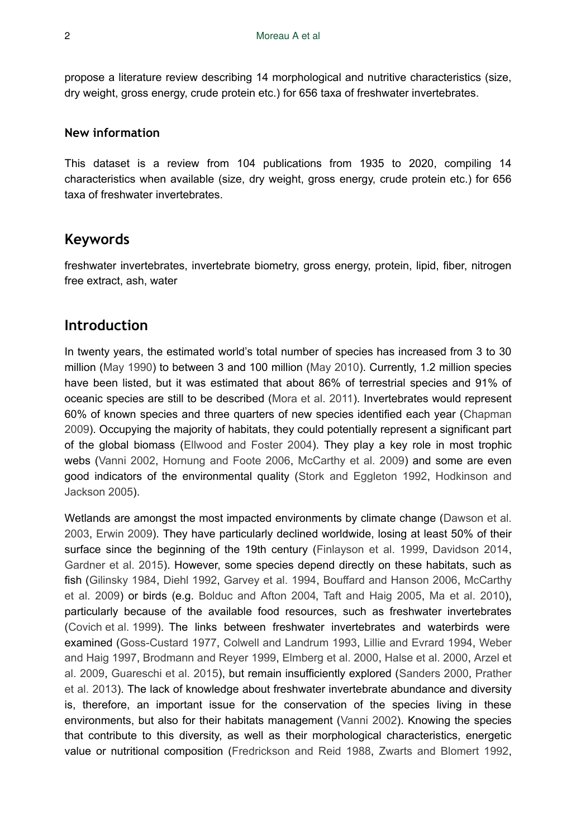propose a literature review describing 14 morphological and nutritive characteristics (size, dry weight, gross energy, crude protein etc.) for 656 taxa of freshwater invertebrates.

#### **New information**

This dataset is a review from 104 publications from 1935 to 2020, compiling 14 characteristics when available (size, dry weight, gross energy, crude protein etc.) for 656 taxa of freshwater invertebrates.

## **Keywords**

freshwater invertebrates, invertebrate biometry, gross energy, protein, lipid, fiber, nitrogen free extract, ash, water

## **Introduction**

In twenty years, the estimated world's total number of species has increased from 3 to 30 million ([May 1990\)](#page-31-0) to between 3 and 100 million ([May 2010\)](#page-31-1). Currently, 1.2 million species have been listed, but it was estimated that about 86% of terrestrial species and 91% of oceanic species are still to be described ([Mora et al. 2011\)](#page-31-2). Invertebrates would represent 60% of known species and three quarters of new species identified each year [\(Chapman](#page-29-0) [2009](#page-29-0)). Occupying the majority of habitats, they could potentially represent a significant part of the global biomass [\(Ellwood and Foster 2004](#page-30-0)). They play a key role in most trophic webs [\(Vanni 2002](#page-32-0), [Hornung and Foote 2006,](#page-31-3) [McCarthy et al. 2009](#page-31-4)) and some are even good indicators of the environmental quality [\(Stork and Eggleton 1992,](#page-32-1) [Hodkinson and](#page-30-1) [Jackson 2005\)](#page-30-1).

Wetlands are amongst the most impacted environments by climate change ([Dawson et al.](#page-29-1) [2003](#page-29-1), [Erwin 2009\)](#page-30-2). They have particularly declined worldwide, losing at least 50% of their surface since the beginning of the 19th century ([Finlayson et al. 1999,](#page-30-3) [Davidson 2014,](#page-29-2) [Gardner et al. 2015\)](#page-30-4). However, some species depend directly on these habitats, such as fish [\(Gilinsky 1984](#page-30-5), [Diehl 1992](#page-29-3), [Garvey et al. 1994,](#page-30-6) [Bouffard and Hanson 2006](#page-29-4), [McCarthy](#page-31-4) [et al. 2009](#page-31-4)) or birds (e.g. [Bolduc and Afton 2004](#page-29-5), [Taft and Haig 2005](#page-32-2), [Ma et al. 2010\)](#page-31-5), particularly because of the available food resources, such as freshwater invertebrates [\(Covich et al. 1999](#page-29-6)). The links between freshwater invertebrates and waterbirds were examined [\(Goss-Custard 1977,](#page-30-7) [Colwell and Landrum 1993,](#page-29-7) [Lillie and Evrard 1994](#page-31-6), [Weber](#page-32-3) [and Haig 1997](#page-32-3), [Brodmann and Reyer 1999](#page-29-8), [Elmberg et al. 2000](#page-30-8), [Halse et al. 2000,](#page-30-9) [Arzel et](#page-28-0) [al. 2009,](#page-28-0) [Guareschi et al. 2015](#page-30-10)), but remain insufficiently explored ([Sanders 2000](#page-32-4), [Prather](#page-32-5) [et al. 2013](#page-32-5)). The lack of knowledge about freshwater invertebrate abundance and diversity is, therefore, an important issue for the conservation of the species living in these environments, but also for their habitats management [\(Vanni 2002](#page-32-0)). Knowing the species that contribute to this diversity, as well as their morphological characteristics, energetic value or nutritional composition [\(Fredrickson and Reid 1988,](#page-30-11) [Zwarts and Blomert 1992,](#page-33-0)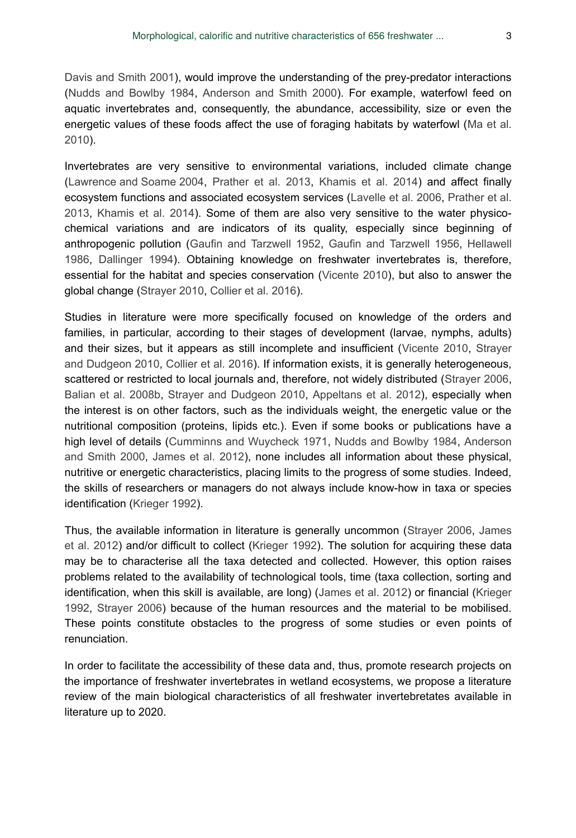[Davis and Smith 2001\)](#page-29-9), would improve the understanding of the prey-predator interactions [\(Nudds and Bowlby 1984,](#page-32-6) [Anderson and Smith 2000\)](#page-28-1). For example, waterfowl feed on aquatic invertebrates and, consequently, the abundance, accessibility, size or even the energetic values of these foods affect the use of foraging habitats by waterfowl [\(Ma et al.](#page-31-5) [2010](#page-31-5)).

Invertebrates are very sensitive to environmental variations, included climate change [\(Lawrence and Soame 2004,](#page-31-7) [Prather et al. 2013](#page-32-5), [Khamis et al. 2014](#page-31-8)) and affect finally ecosystem functions and associated ecosystem services ([Lavelle et al. 2006](#page-31-9), [Prather et al.](#page-32-5) [2013](#page-32-5), [Khamis et al. 2014\)](#page-31-8). Some of them are also very sensitive to the water physicochemical variations and are indicators of its quality, especially since beginning of anthropogenic pollution [\(Gaufin and Tarzwell 1952](#page-30-12), [Gaufin and Tarzwell 1956,](#page-30-13) [Hellawell](#page-30-14) [1986](#page-30-14), [Dallinger 1994\)](#page-29-10). Obtaining knowledge on freshwater invertebrates is, therefore, essential for the habitat and species conservation [\(Vicente 2010\)](#page-32-7), but also to answer the global change ([Strayer 2010,](#page-32-8) [Collier et al. 2016\)](#page-29-11).

Studies in literature were more specifically focused on knowledge of the orders and families, in particular, according to their stages of development (larvae, nymphs, adults) and their sizes, but it appears as still incomplete and insufficient ([Vicente 2010,](#page-32-7) [Strayer](#page-32-9) [and Dudgeon 2010](#page-32-9), [Collier et al. 2016](#page-29-11)). If information exists, it is generally heterogeneous, scattered or restricted to local journals and, therefore, not widely distributed ([Strayer 2006,](#page-32-10) [Balian et al. 2008b](#page-28-2), [Strayer and Dudgeon 2010,](#page-32-9) [Appeltans et al. 2012\)](#page-28-3), especially when the interest is on other factors, such as the individuals weight, the energetic value or the nutritional composition (proteins, lipids etc.). Even if some books or publications have a high level of details [\(Cumminns and Wuycheck 1971,](#page-29-12) [Nudds and Bowlby 1984](#page-32-6), [Anderson](#page-28-1) [and Smith 2000,](#page-28-1) [James et al. 2012](#page-31-10)), none includes all information about these physical, nutritive or energetic characteristics, placing limits to the progress of some studies. Indeed, the skills of researchers or managers do not always include know-how in taxa or species identification ([Krieger 1992\)](#page-31-11).

Thus, the available information in literature is generally uncommon [\(Strayer 2006,](#page-32-10) [James](#page-31-10) [et al. 2012](#page-31-10)) and/or difficult to collect ([Krieger 1992](#page-31-11)). The solution for acquiring these data may be to characterise all the taxa detected and collected. However, this option raises problems related to the availability of technological tools, time (taxa collection, sorting and identification, when this skill is available, are long) ([James et al. 2012\)](#page-31-10) or financial [\(Krieger](#page-31-11) [1992](#page-31-11), [Strayer 2006\)](#page-32-10) because of the human resources and the material to be mobilised. These points constitute obstacles to the progress of some studies or even points of renunciation.

In order to facilitate the accessibility of these data and, thus, promote research projects on the importance of freshwater invertebrates in wetland ecosystems, we propose a literature review of the main biological characteristics of all freshwater invertebretates available in literature up to 2020.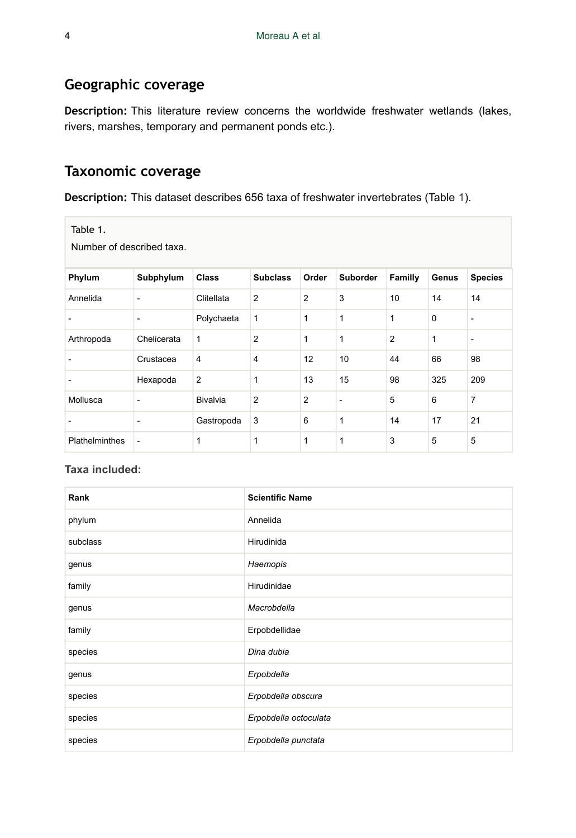## **Geographic coverage**

**Description:** This literature review concerns the worldwide freshwater wetlands (lakes, rivers, marshes, temporary and permanent ponds etc.).

# **Taxonomic coverage**

**Description:** This dataset describes 656 taxa of freshwater invertebrates (Table [1\)](#page-3-0).

<span id="page-3-0"></span>

Number of described taxa.

| Phylum         | Subphylum   | <b>Class</b>    | <b>Subclass</b> | Order          | Suborder     | Familly        | Genus       | <b>Species</b>           |
|----------------|-------------|-----------------|-----------------|----------------|--------------|----------------|-------------|--------------------------|
| Annelida       | ۰           | Clitellata      | 2               | $\overline{2}$ | 3            | 10             | 14          | 14                       |
|                | -           | Polychaeta      | $\mathbf{1}$    | $\mathbf{1}$   | $\mathbf{1}$ | 1              | $\mathbf 0$ | $\overline{\phantom{a}}$ |
| Arthropoda     | Chelicerata | 1               | $\overline{2}$  | $\mathbf{1}$   | $\mathbf{1}$ | $\overline{2}$ | 1           | $\overline{\phantom{a}}$ |
|                | Crustacea   | $\overline{4}$  | $\overline{4}$  | 12             | 10           | 44             | 66          | 98                       |
|                | Hexapoda    | $\overline{2}$  | 1               | 13             | 15           | 98             | 325         | 209                      |
| Mollusca       | ۰           | <b>Bivalvia</b> | $\overline{2}$  | $\overline{2}$ | ۰            | 5              | 6           | $\overline{7}$           |
|                | ۰           | Gastropoda      | 3               | 6              | 1            | 14             | 17          | 21                       |
| Plathelminthes | ٠           | 1               | 1               | $\mathbf{1}$   | 1            | 3              | 5           | 5                        |

#### **Taxa included:**

| Rank     | <b>Scientific Name</b> |
|----------|------------------------|
| phylum   | Annelida               |
| subclass | Hirudinida             |
| genus    | Haemopis               |
| family   | Hirudinidae            |
| genus    | Macrobdella            |
| family   | Erpobdellidae          |
| species  | Dina dubia             |
| genus    | Erpobdella             |
| species  | Erpobdella obscura     |
| species  | Erpobdella octoculata  |
| species  | Erpobdella punctata    |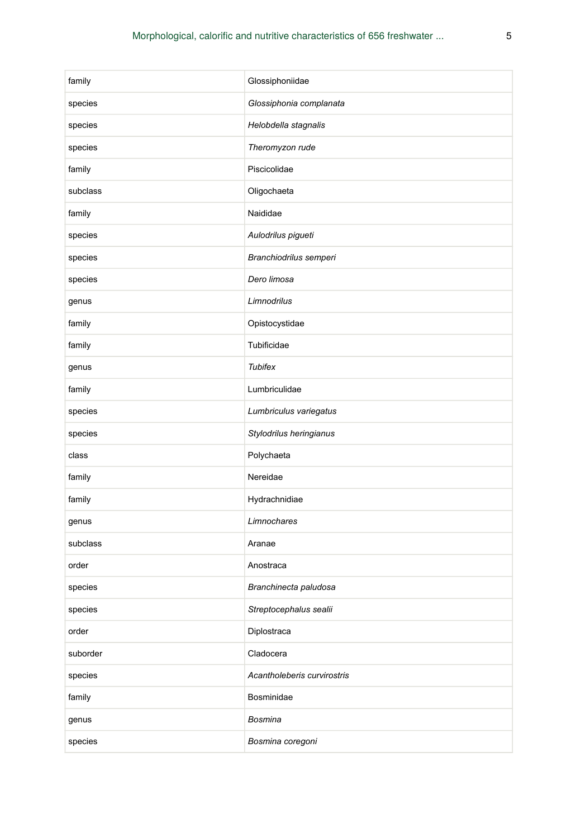| family   | Glossiphoniidae             |
|----------|-----------------------------|
| species  | Glossiphonia complanata     |
| species  | Helobdella stagnalis        |
| species  | Theromyzon rude             |
| family   | Piscicolidae                |
| subclass | Oligochaeta                 |
| family   | Naididae                    |
| species  | Aulodrilus pigueti          |
| species  | Branchiodrilus semperi      |
| species  | Dero limosa                 |
| genus    | Limnodrilus                 |
| family   | Opistocystidae              |
| family   | Tubificidae                 |
| genus    | <b>Tubifex</b>              |
| family   | Lumbriculidae               |
| species  | Lumbriculus variegatus      |
| species  | Stylodrilus heringianus     |
| class    | Polychaeta                  |
| family   | Nereidae                    |
| family   | Hydrachnidiae               |
| genus    | Limnochares                 |
| subclass | Aranae                      |
| order    | Anostraca                   |
| species  | Branchinecta paludosa       |
| species  | Streptocephalus sealii      |
| order    | Diplostraca                 |
| suborder | Cladocera                   |
| species  | Acantholeberis curvirostris |
| family   | Bosminidae                  |
| genus    | <b>Bosmina</b>              |
| species  | Bosmina coregoni            |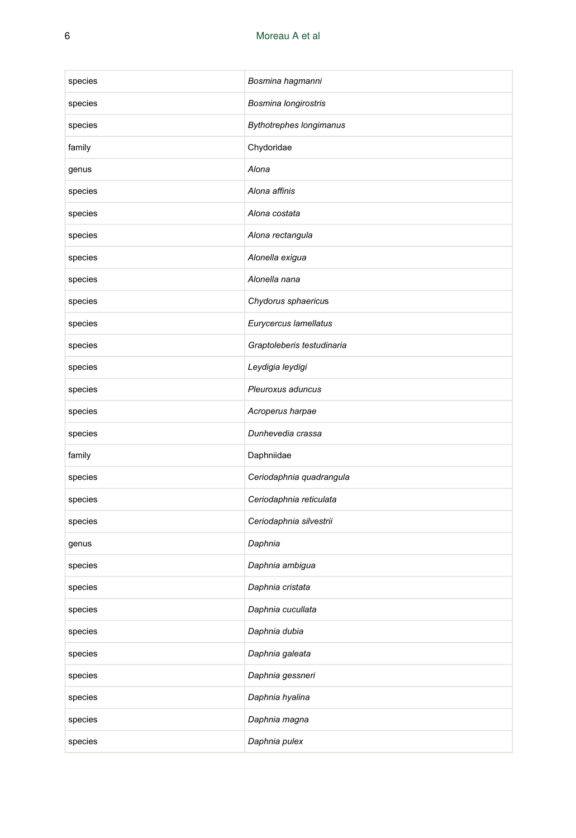| species | Bosmina hagmanni               |
|---------|--------------------------------|
| species | Bosmina longirostris           |
| species | <b>Bythotrephes longimanus</b> |
| family  | Chydoridae                     |
| genus   | Alona                          |
| species | Alona affinis                  |
| species | Alona costata                  |
| species | Alona rectangula               |
| species | Alonella exigua                |
| species | Alonella nana                  |
| species | Chydorus sphaericus            |
| species | Eurycercus lamellatus          |
| species | Graptoleberis testudinaria     |
| species | Leydigia leydigi               |
| species | Pleuroxus aduncus              |
| species | Acroperus harpae               |
| species | Dunhevedia crassa              |
| family  | Daphniidae                     |
| species | Ceriodaphnia quadrangula       |
| species | Ceriodaphnia reticulata        |
| species | Ceriodaphnia silvestrii        |
| genus   | Daphnia                        |
| species | Daphnia ambigua                |
| species | Daphnia cristata               |
| species | Daphnia cucullata              |
| species | Daphnia dubia                  |
| species | Daphnia galeata                |
| species | Daphnia gessneri               |
| species | Daphnia hyalina                |
| species | Daphnia magna                  |
| species | Daphnia pulex                  |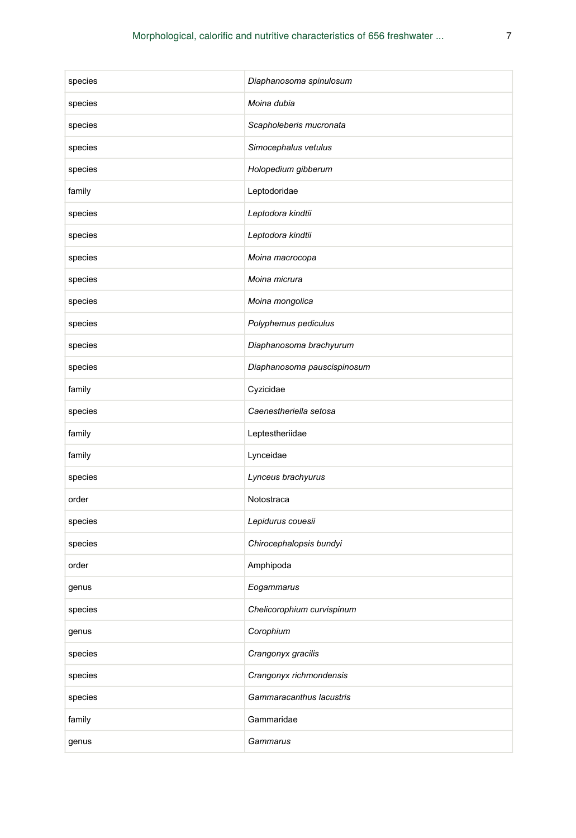| species | Diaphanosoma spinulosum     |
|---------|-----------------------------|
| species | Moina dubia                 |
| species | Scapholeberis mucronata     |
| species | Simocephalus vetulus        |
| species | Holopedium gibberum         |
| family  | Leptodoridae                |
| species | Leptodora kindtii           |
| species | Leptodora kindtii           |
| species | Moina macrocopa             |
| species | Moina micrura               |
| species | Moina mongolica             |
| species | Polyphemus pediculus        |
| species | Diaphanosoma brachyurum     |
| species | Diaphanosoma pauscispinosum |
| family  | Cyzicidae                   |
| species | Caenestheriella setosa      |
| family  | Leptestheriidae             |
| family  | Lynceidae                   |
| species | Lynceus brachyurus          |
| order   | Notostraca                  |
| species | Lepidurus couesii           |
| species | Chirocephalopsis bundyi     |
| order   | Amphipoda                   |
| genus   | Eogammarus                  |
| species | Chelicorophium curvispinum  |
| genus   | Corophium                   |
| species | Crangonyx gracilis          |
| species | Crangonyx richmondensis     |
| species | Gammaracanthus lacustris    |
| family  | Gammaridae                  |
| genus   | Gammarus                    |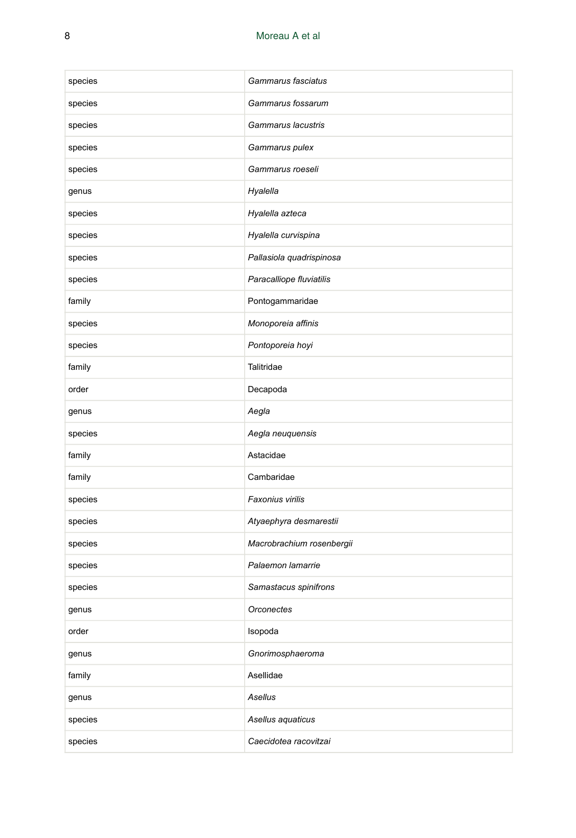| species | Gammarus fasciatus        |
|---------|---------------------------|
| species | Gammarus fossarum         |
| species | Gammarus lacustris        |
| species | Gammarus pulex            |
| species | Gammarus roeseli          |
| genus   | Hyalella                  |
| species | Hyalella azteca           |
| species | Hyalella curvispina       |
| species | Pallasiola quadrispinosa  |
| species | Paracalliope fluviatilis  |
| family  | Pontogammaridae           |
| species | Monoporeia affinis        |
| species | Pontoporeia hoyi          |
| family  | Talitridae                |
| order   | Decapoda                  |
| genus   | Aegla                     |
| species | Aegla neuquensis          |
| family  | Astacidae                 |
| family  | Cambaridae                |
| species | Faxonius virilis          |
| species | Atyaephyra desmarestii    |
| species | Macrobrachium rosenbergii |
| species | Palaemon lamarrie         |
| species | Samastacus spinifrons     |
| genus   | <b>Orconectes</b>         |
| order   | Isopoda                   |
| genus   | Gnorimosphaeroma          |
| family  | Asellidae                 |
| genus   | Asellus                   |
| species | Asellus aquaticus         |
| species | Caecidotea racovitzai     |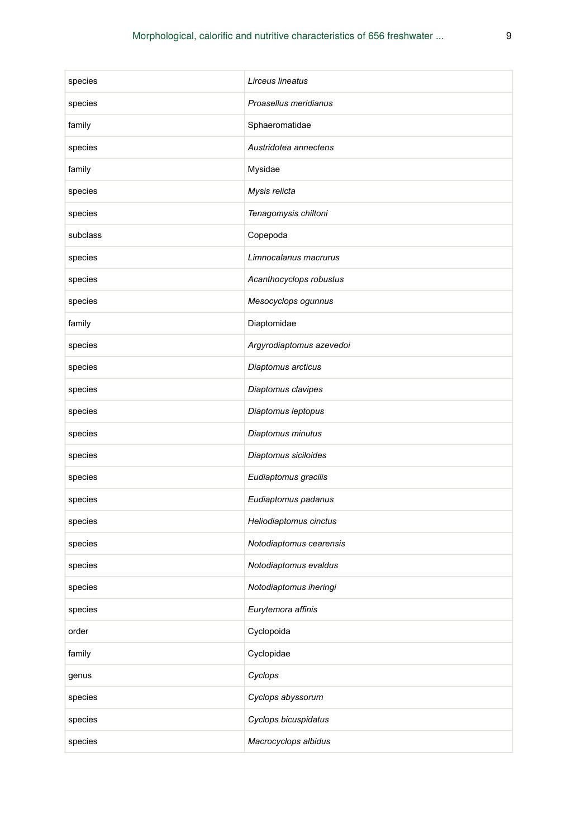| species  | Lirceus lineatus         |
|----------|--------------------------|
| species  | Proasellus meridianus    |
| family   | Sphaeromatidae           |
| species  | Austridotea annectens    |
| family   | Mysidae                  |
| species  | Mysis relicta            |
| species  | Tenagomysis chiltoni     |
| subclass | Copepoda                 |
| species  | Limnocalanus macrurus    |
| species  | Acanthocyclops robustus  |
| species  | Mesocyclops ogunnus      |
| family   | Diaptomidae              |
| species  | Argyrodiaptomus azevedoi |
| species  | Diaptomus arcticus       |
| species  | Diaptomus clavipes       |
| species  | Diaptomus leptopus       |
| species  | Diaptomus minutus        |
| species  | Diaptomus siciloides     |
| species  | Eudiaptomus gracilis     |
| species  | Eudiaptomus padanus      |
| species  | Heliodiaptomus cinctus   |
| species  | Notodiaptomus cearensis  |
| species  | Notodiaptomus evaldus    |
| species  | Notodiaptomus iheringi   |
| species  | Eurytemora affinis       |
| order    | Cyclopoida               |
| family   | Cyclopidae               |
| genus    | Cyclops                  |
| species  | Cyclops abyssorum        |
| species  | Cyclops bicuspidatus     |
| species  | Macrocyclops albidus     |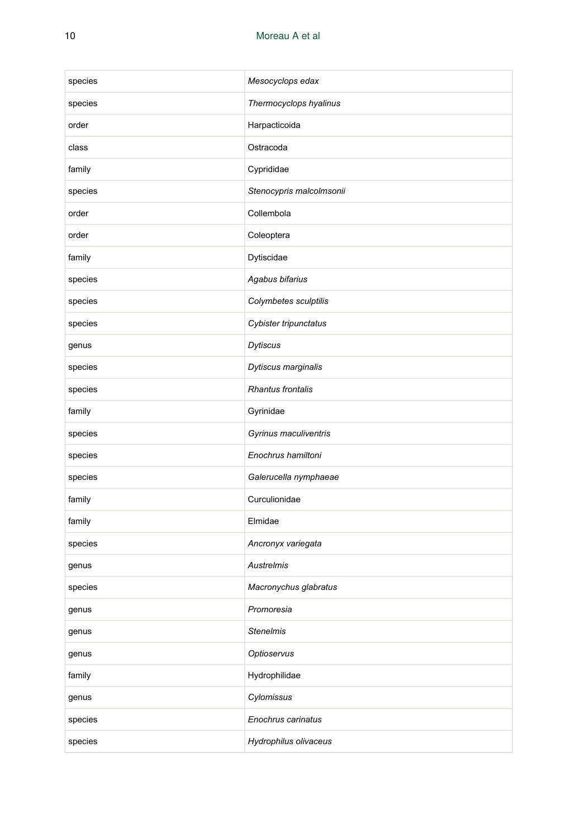| species | Mesocyclops edax         |
|---------|--------------------------|
| species | Thermocyclops hyalinus   |
| order   | Harpacticoida            |
| class   | Ostracoda                |
| family  | Cyprididae               |
| species | Stenocypris malcolmsonii |
| order   | Collembola               |
| order   | Coleoptera               |
| family  | Dytiscidae               |
| species | Agabus bifarius          |
| species | Colymbetes sculptilis    |
| species | Cybister tripunctatus    |
| genus   | Dytiscus                 |
| species | Dytiscus marginalis      |
| species | <b>Rhantus frontalis</b> |
| family  | Gyrinidae                |
| species | Gyrinus maculiventris    |
| species | Enochrus hamiltoni       |
| species | Galerucella nymphaeae    |
| family  | Curculionidae            |
| family  | Elmidae                  |
| species | Ancronyx variegata       |
| genus   | <b>Austrelmis</b>        |
| species | Macronychus glabratus    |
| genus   | Promoresia               |
| genus   | <b>Stenelmis</b>         |
| genus   | Optioservus              |
| family  | Hydrophilidae            |
| genus   | Cylomissus               |
| species | Enochrus carinatus       |
| species | Hydrophilus olivaceus    |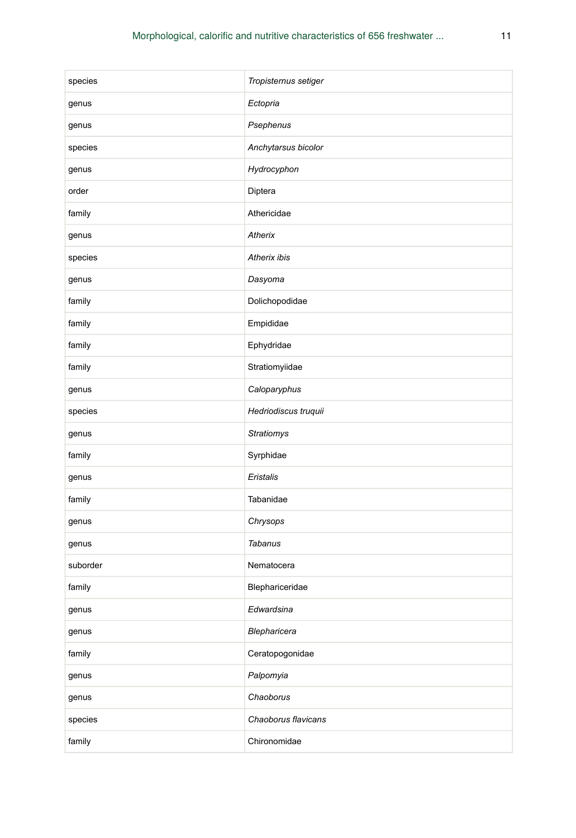| species  | Tropisternus setiger |
|----------|----------------------|
| genus    | Ectopria             |
| genus    | Psephenus            |
| species  | Anchytarsus bicolor  |
| genus    | Hydrocyphon          |
| order    | Diptera              |
| family   | Athericidae          |
| genus    | Atherix              |
| species  | Atherix ibis         |
| genus    | Dasyoma              |
| family   | Dolichopodidae       |
| family   | Empididae            |
| family   | Ephydridae           |
| family   | Stratiomyiidae       |
| genus    | Caloparyphus         |
| species  | Hedriodiscus truquii |
| genus    | <b>Stratiomys</b>    |
| family   | Syrphidae            |
| genus    | Eristalis            |
| family   | Tabanidae            |
| genus    | Chrysops             |
| genus    | Tabanus              |
| suborder | Nematocera           |
| family   | Blephariceridae      |
| genus    | Edwardsina           |
| genus    | Blepharicera         |
| family   | Ceratopogonidae      |
| genus    | Palpomyia            |
| genus    | Chaoborus            |
| species  | Chaoborus flavicans  |
| family   | Chironomidae         |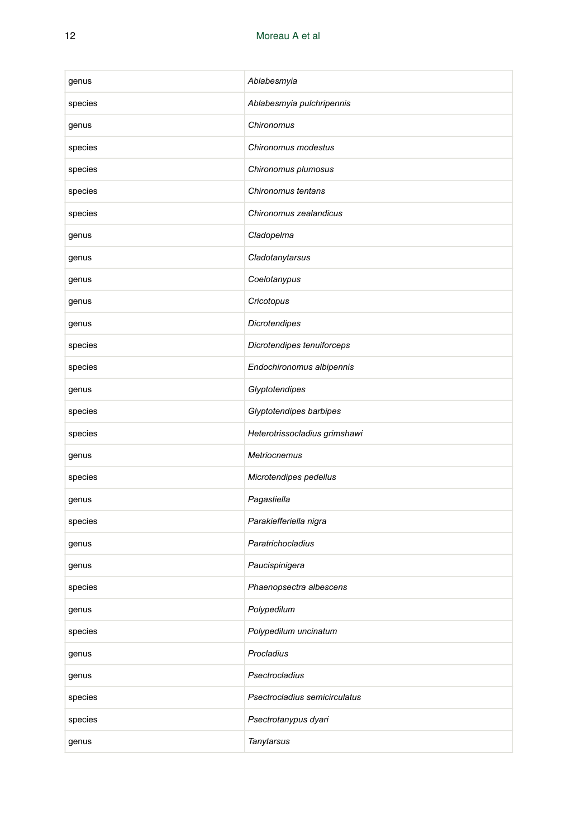| genus   | Ablabesmyia                   |
|---------|-------------------------------|
| species | Ablabesmyia pulchripennis     |
| genus   | Chironomus                    |
| species | Chironomus modestus           |
| species | Chironomus plumosus           |
| species | Chironomus tentans            |
| species | Chironomus zealandicus        |
| genus   | Cladopelma                    |
| genus   | Cladotanytarsus               |
| genus   | Coelotanypus                  |
| genus   | Cricotopus                    |
| genus   | Dicrotendipes                 |
| species | Dicrotendipes tenuiforceps    |
| species | Endochironomus albipennis     |
| genus   | Glyptotendipes                |
| species | Glyptotendipes barbipes       |
| species | Heterotrissocladius grimshawi |
| genus   | Metriocnemus                  |
| species | Microtendipes pedellus        |
| genus   | Pagastiella                   |
| species | Parakiefferiella nigra        |
| genus   | Paratrichocladius             |
| genus   | Paucispinigera                |
| species | Phaenopsectra albescens       |
| genus   | Polypedilum                   |
| species | Polypedilum uncinatum         |
| genus   | Procladius                    |
| genus   | Psectrocladius                |
| species | Psectrocladius semicirculatus |
| species | Psectrotanypus dyari          |
| genus   | Tanytarsus                    |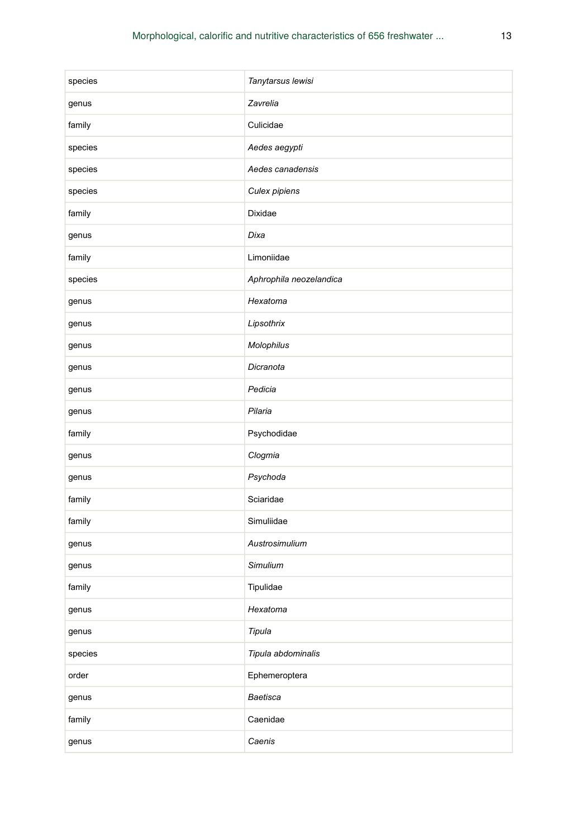| species | Tanytarsus lewisi       |
|---------|-------------------------|
| genus   | Zavrelia                |
| family  | Culicidae               |
| species | Aedes aegypti           |
| species | Aedes canadensis        |
| species | Culex pipiens           |
| family  | Dixidae                 |
| genus   | Dixa                    |
| family  | Limoniidae              |
| species | Aphrophila neozelandica |
| genus   | Hexatoma                |
| genus   | Lipsothrix              |
| genus   | Molophilus              |
| genus   | Dicranota               |
| genus   | Pedicia                 |
| genus   | Pilaria                 |
| family  | Psychodidae             |
| genus   | Clogmia                 |
| genus   | Psychoda                |
| family  | Sciaridae               |
| family  | Simuliidae              |
| genus   | Austrosimulium          |
| genus   | Simulium                |
| family  | Tipulidae               |
| genus   | Hexatoma                |
| genus   | Tipula                  |
| species | Tipula abdominalis      |
| order   | Ephemeroptera           |
| genus   | Baetisca                |
| family  | Caenidae                |
| genus   | Caenis                  |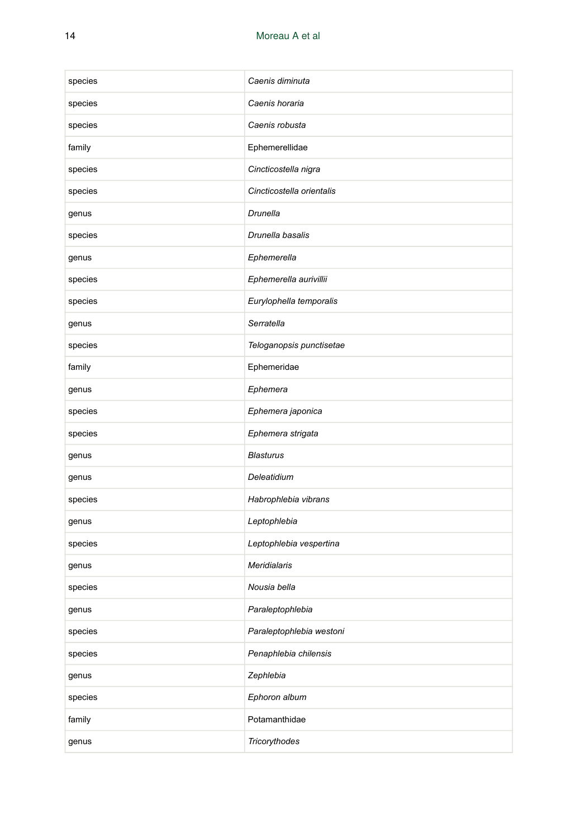| species | Caenis diminuta           |
|---------|---------------------------|
| species | Caenis horaria            |
| species | Caenis robusta            |
| family  | Ephemerellidae            |
| species | Cincticostella nigra      |
| species | Cincticostella orientalis |
| genus   | <b>Drunella</b>           |
| species | Drunella basalis          |
| genus   | Ephemerella               |
| species | Ephemerella aurivillii    |
| species | Eurylophella temporalis   |
| genus   | Serratella                |
| species | Teloganopsis punctisetae  |
| family  | Ephemeridae               |
| genus   | Ephemera                  |
| species | Ephemera japonica         |
| species | Ephemera strigata         |
| genus   | <b>Blasturus</b>          |
| genus   | Deleatidium               |
| species | Habrophlebia vibrans      |
| genus   | Leptophlebia              |
| species | Leptophlebia vespertina   |
| genus   | <b>Meridialaris</b>       |
| species | Nousia bella              |
| genus   | Paraleptophlebia          |
| species | Paraleptophlebia westoni  |
| species | Penaphlebia chilensis     |
| genus   | Zephlebia                 |
| species | Ephoron album             |
| family  | Potamanthidae             |
| genus   | Tricorythodes             |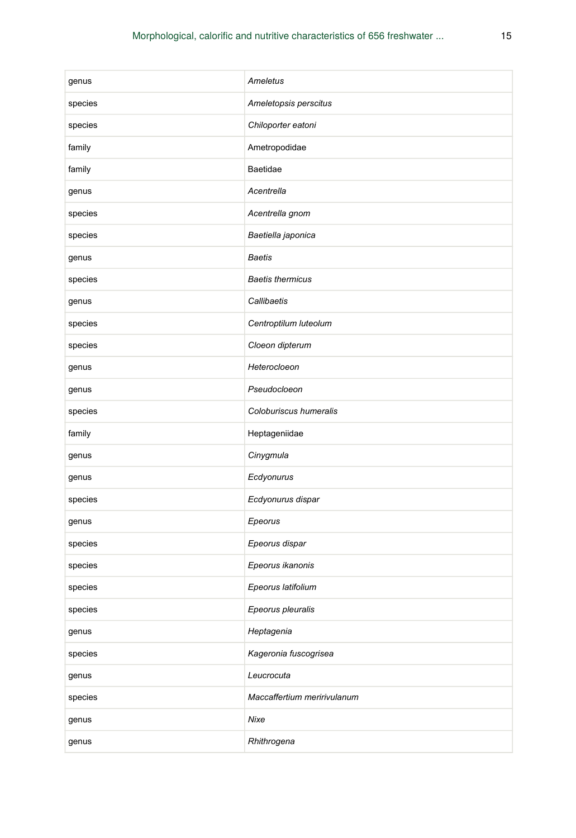| genus   | Ameletus                    |
|---------|-----------------------------|
| species | Ameletopsis perscitus       |
| species | Chiloporter eatoni          |
| family  | Ametropodidae               |
| family  | Baetidae                    |
| genus   | Acentrella                  |
| species | Acentrella gnom             |
| species | Baetiella japonica          |
| genus   | <b>Baetis</b>               |
| species | <b>Baetis thermicus</b>     |
| genus   | Callibaetis                 |
| species | Centroptilum luteolum       |
| species | Cloeon dipterum             |
| genus   | Heterocloeon                |
| genus   | Pseudocloeon                |
| species | Coloburiscus humeralis      |
| family  | Heptageniidae               |
| genus   | Cinygmula                   |
| genus   | Ecdyonurus                  |
| species | Ecdyonurus dispar           |
| genus   | Epeorus                     |
| species | Epeorus dispar              |
| species | Epeorus ikanonis            |
| species | Epeorus latifolium          |
| species | Epeorus pleuralis           |
| genus   | Heptagenia                  |
| species | Kageronia fuscogrisea       |
| genus   | Leucrocuta                  |
| species | Maccaffertium meririvulanum |
| genus   | Nixe                        |
| genus   | Rhithrogena                 |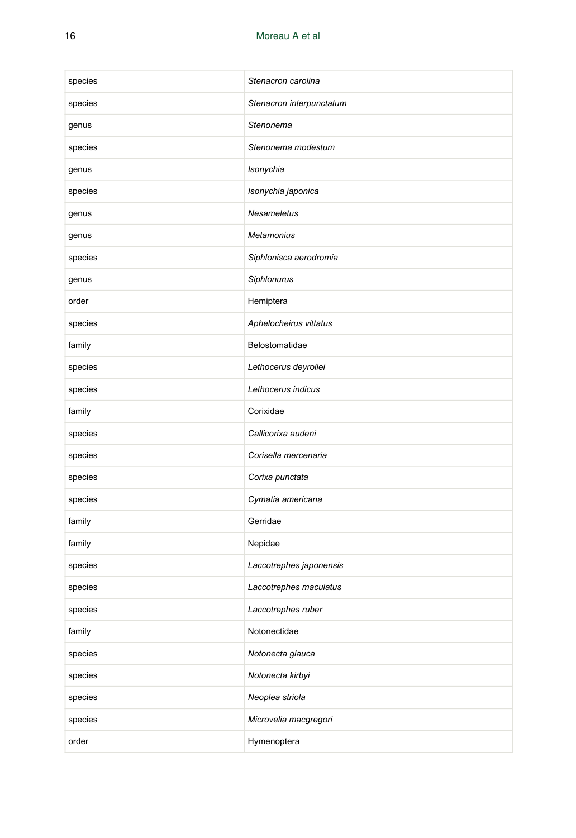| species | Stenacron carolina       |
|---------|--------------------------|
| species | Stenacron interpunctatum |
| genus   | Stenonema                |
| species | Stenonema modestum       |
| genus   | Isonychia                |
| species | Isonychia japonica       |
| genus   | <b>Nesameletus</b>       |
| genus   | <b>Metamonius</b>        |
| species | Siphlonisca aerodromia   |
| genus   | Siphlonurus              |
| order   | Hemiptera                |
| species | Aphelocheirus vittatus   |
| family  | Belostomatidae           |
| species | Lethocerus deyrollei     |
| species | Lethocerus indicus       |
| family  | Corixidae                |
| species | Callicorixa audeni       |
| species | Corisella mercenaria     |
| species | Corixa punctata          |
| species | Cymatia americana        |
| family  | Gerridae                 |
| family  | Nepidae                  |
| species | Laccotrephes japonensis  |
| species | Laccotrephes maculatus   |
| species | Laccotrephes ruber       |
| family  | Notonectidae             |
| species | Notonecta glauca         |
| species | Notonecta kirbyi         |
| species | Neoplea striola          |
| species | Microvelia macgregori    |
| order   | Hymenoptera              |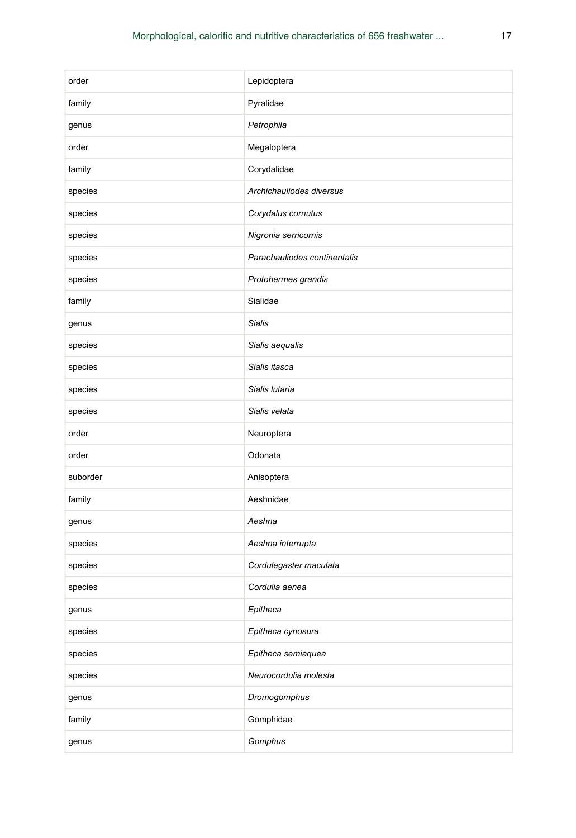| order    | Lepidoptera                  |
|----------|------------------------------|
| family   | Pyralidae                    |
| genus    | Petrophila                   |
| order    | Megaloptera                  |
| family   | Corydalidae                  |
| species  | Archichauliodes diversus     |
| species  | Corydalus cornutus           |
| species  | Nigronia serricornis         |
| species  | Parachauliodes continentalis |
| species  | Protohermes grandis          |
| family   | Sialidae                     |
| genus    | <b>Sialis</b>                |
| species  | Sialis aequalis              |
| species  | Sialis itasca                |
| species  | Sialis lutaria               |
| species  | Sialis velata                |
| order    | Neuroptera                   |
| order    | Odonata                      |
| suborder | Anisoptera                   |
| family   | Aeshnidae                    |
| genus    | Aeshna                       |
| species  | Aeshna interrupta            |
| species  | Cordulegaster maculata       |
| species  | Cordulia aenea               |
| genus    | Epitheca                     |
| species  | Epitheca cynosura            |
| species  | Epitheca semiaquea           |
| species  | Neurocordulia molesta        |
| genus    | Dromogomphus                 |
| family   | Gomphidae                    |
| genus    | Gomphus                      |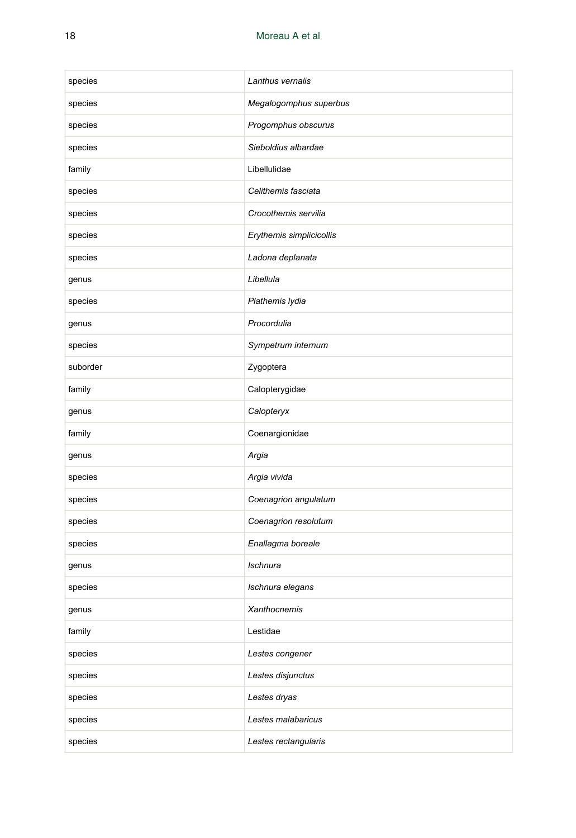| species  | Lanthus vernalis         |
|----------|--------------------------|
| species  | Megalogomphus superbus   |
| species  | Progomphus obscurus      |
| species  | Sieboldius albardae      |
| family   | Libellulidae             |
| species  | Celithemis fasciata      |
| species  | Crocothemis servilia     |
| species  | Erythemis simplicicollis |
| species  | Ladona deplanata         |
| genus    | Libellula                |
| species  | Plathemis lydia          |
| genus    | Procordulia              |
| species  | Sympetrum internum       |
| suborder | Zygoptera                |
| family   | Calopterygidae           |
| genus    | Calopteryx               |
| family   | Coenargionidae           |
| genus    | Argia                    |
| species  | Argia vivida             |
| species  | Coenagrion angulatum     |
| species  | Coenagrion resolutum     |
| species  | Enallagma boreale        |
| genus    | <b>Ischnura</b>          |
| species  | Ischnura elegans         |
| genus    | Xanthocnemis             |
| family   | Lestidae                 |
| species  | Lestes congener          |
| species  | Lestes disjunctus        |
| species  | Lestes dryas             |
| species  | Lestes malabaricus       |
| species  | Lestes rectangularis     |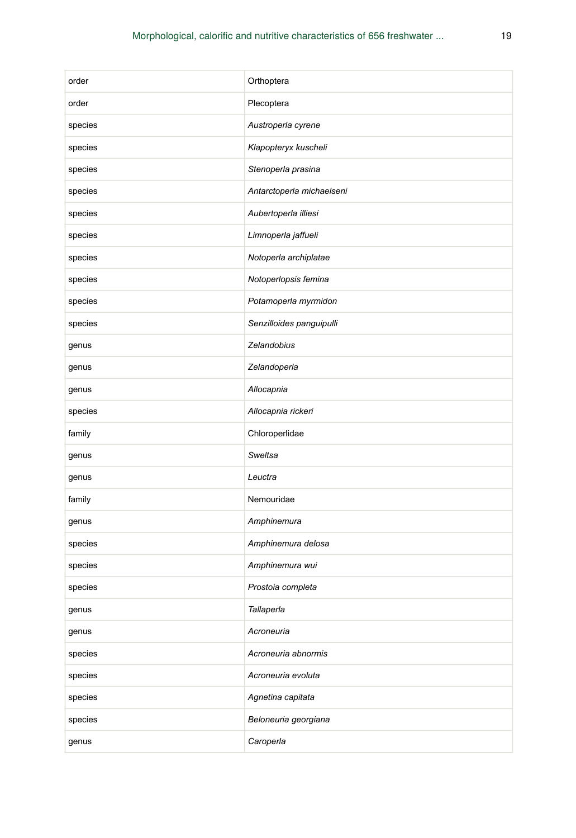| order   | Orthoptera                |
|---------|---------------------------|
| order   | Plecoptera                |
| species | Austroperla cyrene        |
| species | Klapopteryx kuscheli      |
| species | Stenoperla prasina        |
| species | Antarctoperla michaelseni |
| species | Aubertoperla illiesi      |
| species | Limnoperla jaffueli       |
| species | Notoperla archiplatae     |
| species | Notoperlopsis femina      |
| species | Potamoperla myrmidon      |
| species | Senzilloides panguipulli  |
| genus   | Zelandobius               |
| genus   | Zelandoperla              |
| genus   | Allocapnia                |
| species | Allocapnia rickeri        |
| family  | Chloroperlidae            |
| genus   | Sweltsa                   |
| genus   | Leuctra                   |
| family  | Nemouridae                |
| genus   | Amphinemura               |
| species | Amphinemura delosa        |
| species | Amphinemura wui           |
| species | Prostoia completa         |
| genus   | Tallaperla                |
| genus   | Acroneuria                |
| species | Acroneuria abnormis       |
| species | Acroneuria evoluta        |
| species | Agnetina capitata         |
| species | Beloneuria georgiana      |
| genus   | Caroperla                 |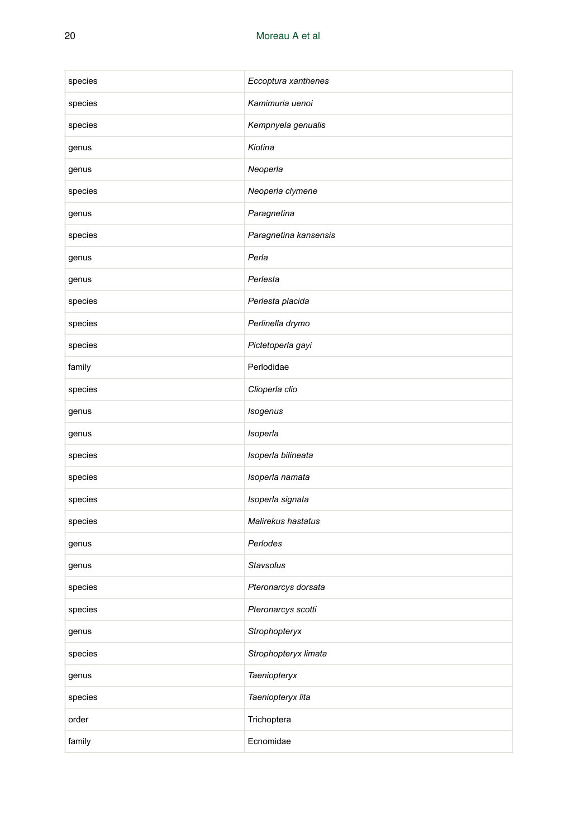| species | Eccoptura xanthenes   |
|---------|-----------------------|
| species | Kamimuria uenoi       |
| species | Kempnyela genualis    |
| genus   | Kiotina               |
| genus   | Neoperla              |
| species | Neoperla clymene      |
| genus   | Paragnetina           |
| species | Paragnetina kansensis |
| genus   | Perla                 |
| genus   | Perlesta              |
| species | Perlesta placida      |
| species | Perlinella drymo      |
| species | Pictetoperla gayi     |
| family  | Perlodidae            |
| species | Clioperla clio        |
| genus   | Isogenus              |
| genus   | Isoperla              |
| species | Isoperla bilineata    |
| species | Isoperla namata       |
| species | Isoperla signata      |
| species | Malirekus hastatus    |
| genus   | Perlodes              |
| genus   | <b>Stavsolus</b>      |
| species | Pteronarcys dorsata   |
| species | Pteronarcys scotti    |
| genus   | Strophopteryx         |
| species | Strophopteryx limata  |
| genus   | Taeniopteryx          |
| species | Taeniopteryx lita     |
| order   | Trichoptera           |
| family  | Ecnomidae             |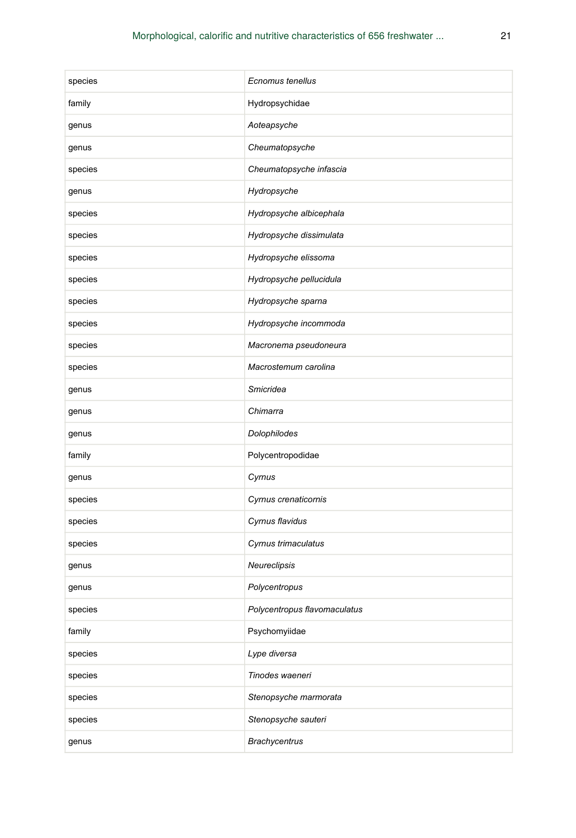| species | Ecnomus tenellus             |
|---------|------------------------------|
| family  | Hydropsychidae               |
| genus   | Aoteapsyche                  |
| genus   | Cheumatopsyche               |
| species | Cheumatopsyche infascia      |
| genus   | Hydropsyche                  |
| species | Hydropsyche albicephala      |
| species | Hydropsyche dissimulata      |
| species | Hydropsyche elissoma         |
| species | Hydropsyche pellucidula      |
| species | Hydropsyche sparna           |
| species | Hydropsyche incommoda        |
| species | Macronema pseudoneura        |
| species | Macrostemum carolina         |
| genus   | Smicridea                    |
| genus   | Chimarra                     |
| genus   | Dolophilodes                 |
| family  | Polycentropodidae            |
| genus   | Cyrnus                       |
| species | Cyrnus crenaticornis         |
| species | Cyrnus flavidus              |
| species | Cyrnus trimaculatus          |
| genus   | Neureclipsis                 |
| genus   | Polycentropus                |
| species | Polycentropus flavomaculatus |
| family  | Psychomyiidae                |
| species | Lype diversa                 |
| species | Tinodes waeneri              |
| species | Stenopsyche marmorata        |
| species | Stenopsyche sauteri          |
| genus   | <b>Brachycentrus</b>         |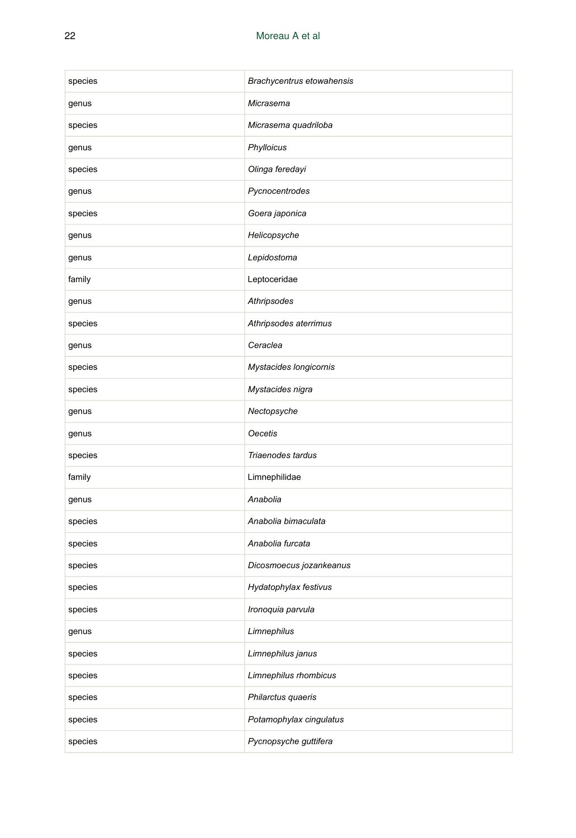| species | Brachycentrus etowahensis |
|---------|---------------------------|
| genus   | Micrasema                 |
| species | Micrasema quadriloba      |
| genus   | Phylloicus                |
| species | Olinga feredayi           |
| genus   | Pycnocentrodes            |
| species | Goera japonica            |
| genus   | Helicopsyche              |
| genus   | Lepidostoma               |
| family  | Leptoceridae              |
| genus   | Athripsodes               |
| species | Athripsodes aterrimus     |
| genus   | Ceraclea                  |
| species | Mystacides longicornis    |
| species | Mystacides nigra          |
| genus   | Nectopsyche               |
| genus   | <b>Oecetis</b>            |
| species | Triaenodes tardus         |
| family  | Limnephilidae             |
| genus   | Anabolia                  |
| species | Anabolia bimaculata       |
| species | Anabolia furcata          |
| species | Dicosmoecus jozankeanus   |
| species | Hydatophylax festivus     |
| species | Ironoquia parvula         |
| genus   | Limnephilus               |
| species | Limnephilus janus         |
| species | Limnephilus rhombicus     |
| species | Philarctus quaeris        |
| species | Potamophylax cingulatus   |
| species | Pycnopsyche guttifera     |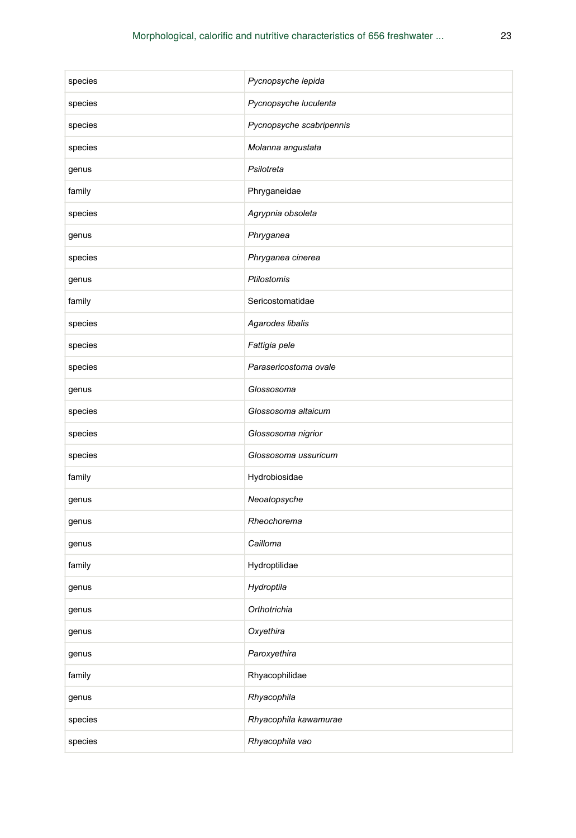| species | Pycnopsyche lepida       |
|---------|--------------------------|
| species | Pycnopsyche luculenta    |
| species | Pycnopsyche scabripennis |
| species | Molanna angustata        |
| genus   | Psilotreta               |
| family  | Phryganeidae             |
| species | Agrypnia obsoleta        |
| genus   | Phryganea                |
| species | Phryganea cinerea        |
| genus   | Ptilostomis              |
| family  | Sericostomatidae         |
| species | Agarodes libalis         |
| species | Fattigia pele            |
| species | Parasericostoma ovale    |
| genus   | Glossosoma               |
| species | Glossosoma altaicum      |
| species | Glossosoma nigrior       |
| species | Glossosoma ussuricum     |
| family  | Hydrobiosidae            |
| genus   | Neoatopsyche             |
| genus   | Rheochorema              |
| genus   | Cailloma                 |
| family  | Hydroptilidae            |
| genus   | Hydroptila               |
| genus   | Orthotrichia             |
| genus   | Oxyethira                |
| genus   | Paroxyethira             |
| family  | Rhyacophilidae           |
| genus   | Rhyacophila              |
| species | Rhyacophila kawamurae    |
| species | Rhyacophila vao          |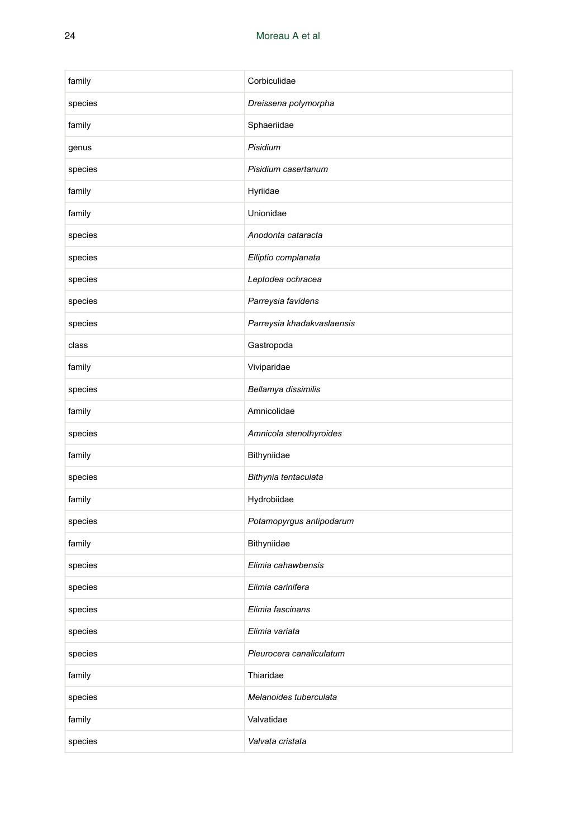| family  | Corbiculidae               |
|---------|----------------------------|
| species | Dreissena polymorpha       |
| family  | Sphaeriidae                |
| genus   | Pisidium                   |
| species | Pisidium casertanum        |
| family  | Hyriidae                   |
| family  | Unionidae                  |
| species | Anodonta cataracta         |
| species | Elliptio complanata        |
| species | Leptodea ochracea          |
| species | Parreysia favidens         |
| species | Parreysia khadakvaslaensis |
| class   | Gastropoda                 |
| family  | Viviparidae                |
| species | Bellamya dissimilis        |
| family  | Amnicolidae                |
| species | Amnicola stenothyroides    |
| family  | Bithyniidae                |
| species | Bithynia tentaculata       |
| family  | Hydrobiidae                |
| species | Potamopyrgus antipodarum   |
| family  | Bithyniidae                |
| species | Elimia cahawbensis         |
| species | Elimia carinifera          |
| species | Elimia fascinans           |
| species | Elimia variata             |
| species | Pleurocera canaliculatum   |
| family  | Thiaridae                  |
| species | Melanoides tuberculata     |
| family  | Valvatidae                 |
| species | Valvata cristata           |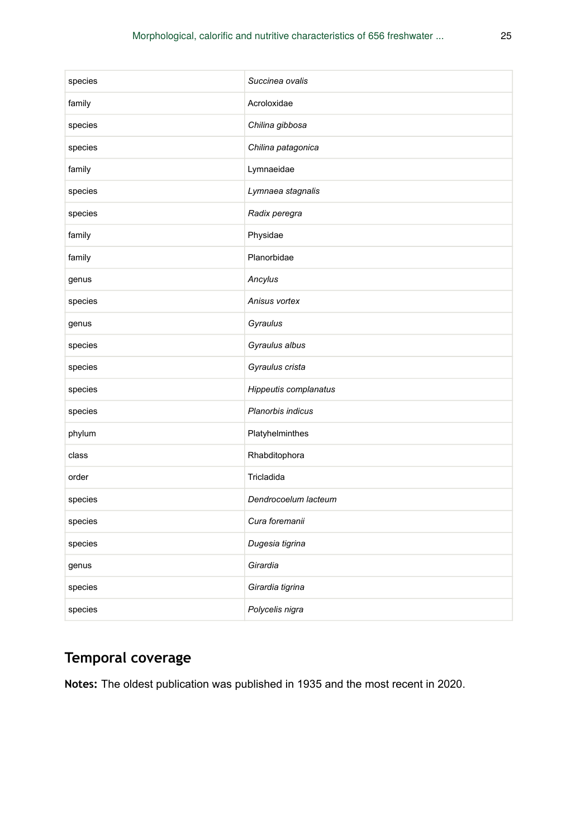| species | Succinea ovalis       |
|---------|-----------------------|
| family  | Acroloxidae           |
| species | Chilina gibbosa       |
| species | Chilina patagonica    |
| family  | Lymnaeidae            |
| species | Lymnaea stagnalis     |
| species | Radix peregra         |
| family  | Physidae              |
| family  | Planorbidae           |
| genus   | Ancylus               |
| species | Anisus vortex         |
| genus   | Gyraulus              |
| species | Gyraulus albus        |
| species | Gyraulus crista       |
| species | Hippeutis complanatus |
| species | Planorbis indicus     |
| phylum  | Platyhelminthes       |
| class   | Rhabditophora         |
| order   | Tricladida            |
| species | Dendrocoelum lacteum  |
| species | Cura foremanii        |
| species | Dugesia tigrina       |
| genus   | Girardia              |
| species | Girardia tigrina      |
| species | Polycelis nigra       |

# **Temporal coverage**

**Notes:** The oldest publication was published in 1935 and the most recent in 2020.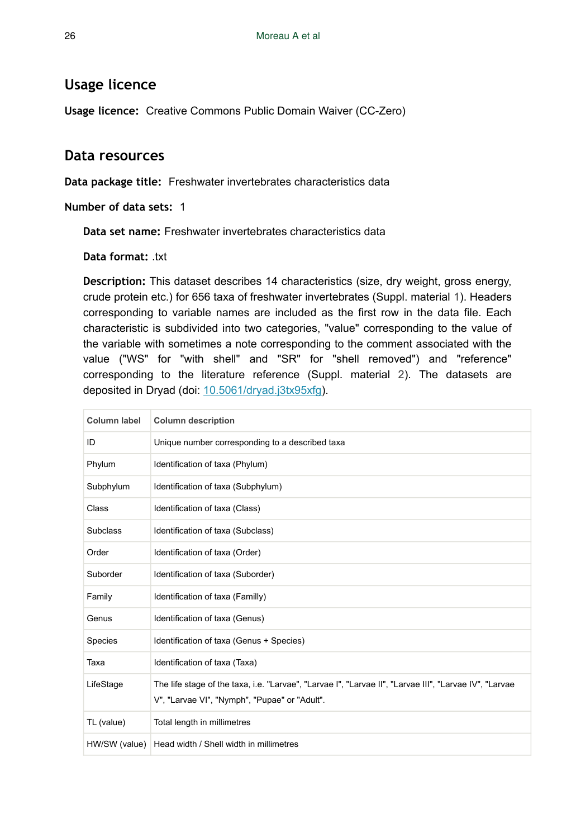## **Usage licence**

**Usage licence:** Creative Commons Public Domain Waiver (CC-Zero)

## **Data resources**

**Data package title:** Freshwater invertebrates characteristics data

**Number of data sets:** 1

**Data set name:** Freshwater invertebrates characteristics data

**Data format:** .txt

**Description:** This dataset describes 14 characteristics (size, dry weight, gross energy, crude protein etc.) for 656 taxa of freshwater invertebrates (Suppl. material [1](#page-33-1)). Headers corresponding to variable names are included as the first row in the data file. Each characteristic is subdivided into two categories, "value" corresponding to the value of the variable with sometimes a note corresponding to the comment associated with the value ("WS" for "with shell" and "SR" for "shell removed") and "reference" corresponding to the literature reference (Suppl. material [2](#page-33-2)). The datasets are deposited in Dryad (doi: [10.5061/dryad.j3tx95xfg](https://doi.org/10.5061/dryad.j3tx95xfg)).

| Column label    | <b>Column description</b>                                                                                                                               |
|-----------------|---------------------------------------------------------------------------------------------------------------------------------------------------------|
| ID              | Unique number corresponding to a described taxa                                                                                                         |
| Phylum          | Identification of taxa (Phylum)                                                                                                                         |
| Subphylum       | Identification of taxa (Subphylum)                                                                                                                      |
| Class           | Identification of taxa (Class)                                                                                                                          |
| <b>Subclass</b> | Identification of taxa (Subclass)                                                                                                                       |
| Order           | Identification of taxa (Order)                                                                                                                          |
| Suborder        | Identification of taxa (Suborder)                                                                                                                       |
| Family          | Identification of taxa (Familly)                                                                                                                        |
| Genus           | Identification of taxa (Genus)                                                                                                                          |
| Species         | Identification of taxa (Genus + Species)                                                                                                                |
| Taxa            | Identification of taxa (Taxa)                                                                                                                           |
| LifeStage       | The life stage of the taxa, i.e. "Larvae", "Larvae I", "Larvae II", "Larvae III", "Larvae IV", "Larvae<br>V", "Larvae VI", "Nymph", "Pupae" or "Adult". |
| TL (value)      | Total length in millimetres                                                                                                                             |
|                 | HW/SW (value)   Head width / Shell width in millimetres                                                                                                 |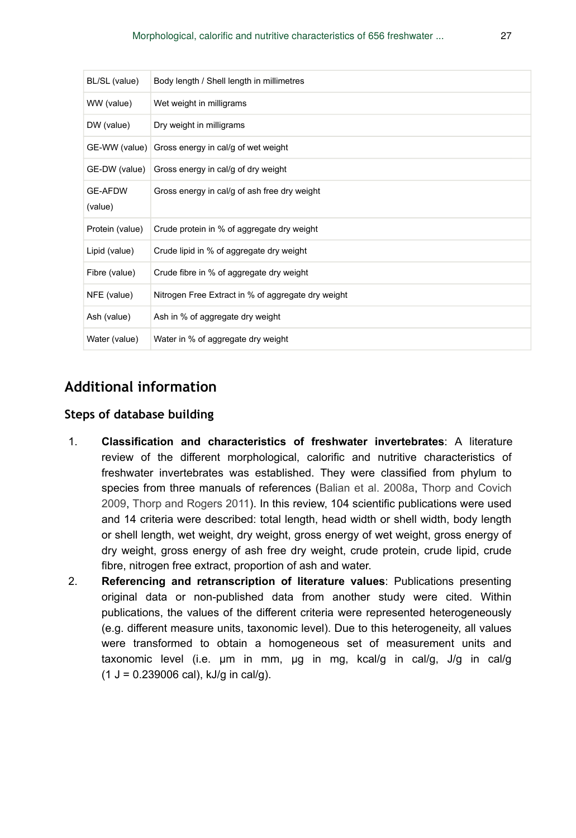| BL/SL (value)             | Body length / Shell length in millimetres          |
|---------------------------|----------------------------------------------------|
| WW (value)                | Wet weight in milligrams                           |
| DW (value)                | Dry weight in milligrams                           |
|                           | GE-WW (value) Gross energy in cal/g of wet weight  |
| GE-DW (value)             | Gross energy in cal/g of dry weight                |
| <b>GE-AFDW</b><br>(value) | Gross energy in cal/g of ash free dry weight       |
| Protein (value)           | Crude protein in % of aggregate dry weight         |
| Lipid (value)             | Crude lipid in % of aggregate dry weight           |
| Fibre (value)             | Crude fibre in % of aggregate dry weight           |
| NFE (value)               | Nitrogen Free Extract in % of aggregate dry weight |
| Ash (value)               | Ash in % of aggregate dry weight                   |
| Water (value)             | Water in % of aggregate dry weight                 |

## **Additional information**

### **Steps of database building**

- 1. **Classification and characteristics of freshwater invertebrates**: A literature review of the different morphological, calorific and nutritive characteristics of freshwater invertebrates was established. They were classified from phylum to species from three manuals of references ([Balian et al. 2008a](#page-28-4), [Thorp and Covich](#page-32-11) [2009](#page-32-11), [Thorp and Rogers 2011\)](#page-32-12). In this review, 104 scientific publications were used and 14 criteria were described: total length, head width or shell width, body length or shell length, wet weight, dry weight, gross energy of wet weight, gross energy of dry weight, gross energy of ash free dry weight, crude protein, crude lipid, crude fibre, nitrogen free extract, proportion of ash and water.
- 2. **Referencing and retranscription of literature values**: Publications presenting original data or non-published data from another study were cited. Within publications, the values of the different criteria were represented heterogeneously (e.g. different measure units, taxonomic level). Due to this heterogeneity, all values were transformed to obtain a homogeneous set of measurement units and taxonomic level (i.e. μm in mm, µg in mg, kcal/g in cal/g, J/g in cal/g  $(1 J = 0.239006 \text{ cal})$ , kJ/g in cal/g).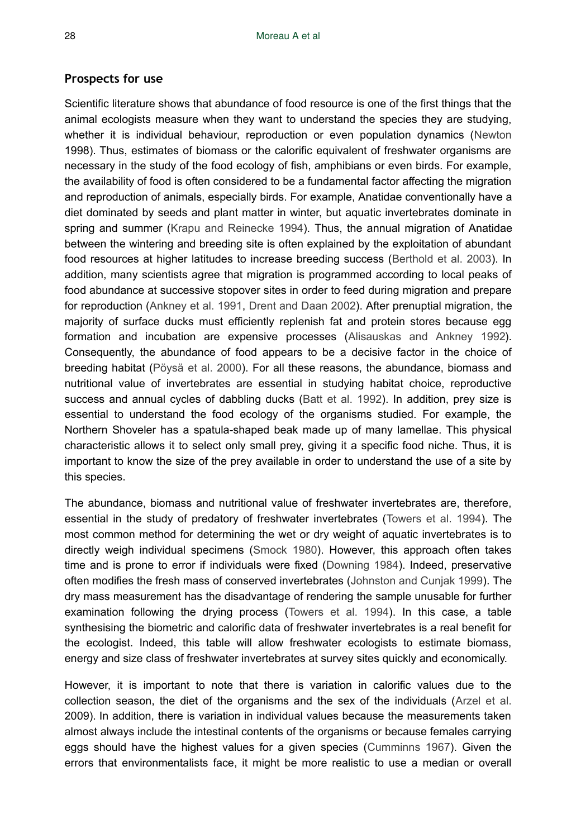#### **Prospects for use**

Scientific literature shows that abundance of food resource is one of the first things that the animal ecologists measure when they want to understand the species they are studying, whether it is individual behaviour, reproduction or even population dynamics ([Newton](#page-31-12) 1998). Thus, estimates of biomass or the calorific equivalent of freshwater organisms are necessary in the study of the food ecology of fish, amphibians or even birds. For example, the availability of food is often considered to be a fundamental factor affecting the migration and reproduction of animals, especially birds. For example, Anatidae conventionally have a diet dominated by seeds and plant matter in winter, but aquatic invertebrates dominate in spring and summer ([Krapu and Reinecke 1994](#page-31-13)). Thus, the annual migration of Anatidae between the wintering and breeding site is often explained by the exploitation of abundant food resources at higher latitudes to increase breeding success ([Berthold et al. 2003\)](#page-29-13). In addition, many scientists agree that migration is programmed according to local peaks of food abundance at successive stopover sites in order to feed during migration and prepare for reproduction [\(Ankney et al. 1991,](#page-28-5) [Drent and Daan 2002\)](#page-30-15). After prenuptial migration, the majority of surface ducks must efficiently replenish fat and protein stores because egg formation and incubation are expensive processes ([Alisauskas and Ankney 1992\)](#page-28-6). Consequently, the abundance of food appears to be a decisive factor in the choice of breeding habitat [\(Pöysä et al. 2000](#page-32-13)). For all these reasons, the abundance, biomass and nutritional value of invertebrates are essential in studying habitat choice, reproductive success and annual cycles of dabbling ducks ([Batt et al. 1992\)](#page-28-7). In addition, prey size is essential to understand the food ecology of the organisms studied. For example, the Northern Shoveler has a spatula-shaped beak made up of many lamellae. This physical characteristic allows it to select only small prey, giving it a specific food niche. Thus, it is important to know the size of the prey available in order to understand the use of a site by this species.

The abundance, biomass and nutritional value of freshwater invertebrates are, therefore, essential in the study of predatory of freshwater invertebrates ([Towers et al. 1994\)](#page-32-14). The most common method for determining the wet or dry weight of aquatic invertebrates is to directly weigh individual specimens [\(Smock 1980](#page-32-15)). However, this approach often takes time and is prone to error if individuals were fixed ([Downing 1984](#page-29-14)). Indeed, preservative often modifies the fresh mass of conserved invertebrates ([Johnston and Cunjak 1999\)](#page-31-14). The dry mass measurement has the disadvantage of rendering the sample unusable for further examination following the drying process [\(Towers et al. 1994\)](#page-32-14). In this case, a table synthesising the biometric and calorific data of freshwater invertebrates is a real benefit for the ecologist. Indeed, this table will allow freshwater ecologists to estimate biomass, energy and size class of freshwater invertebrates at survey sites quickly and economically.

However, it is important to note that there is variation in calorific values due to the collection season, the diet of the organisms and the sex of the individuals ([Arzel et al.](#page-28-0) 2009). In addition, there is variation in individual values because the measurements taken almost always include the intestinal contents of the organisms or because females carrying eggs should have the highest values for a given species ([Cumminns 1967](#page-29-15)). Given the errors that environmentalists face, it might be more realistic to use a median or overall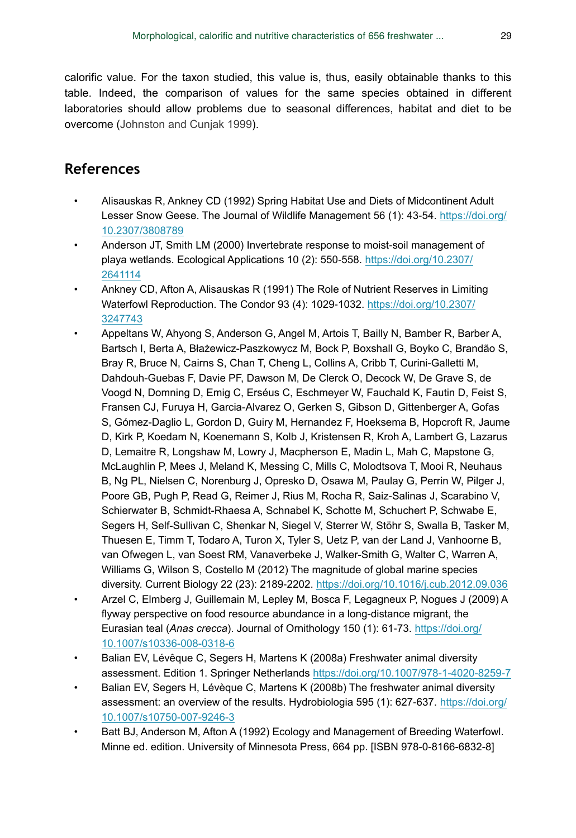calorific value. For the taxon studied, this value is, thus, easily obtainable thanks to this table. Indeed, the comparison of values for the same species obtained in different laboratories should allow problems due to seasonal differences, habitat and diet to be overcome [\(Johnston and Cunjak 1999\)](#page-31-14).

## **References**

- <span id="page-28-6"></span>• Alisauskas R, Ankney CD (1992) Spring Habitat Use and Diets of Midcontinent Adult Lesser Snow Geese. The Journal of Wildlife Management 56 (1): 43‑54. [https://doi.org/](https://doi.org/10.2307/3808789) [10.2307/3808789](https://doi.org/10.2307/3808789)
- <span id="page-28-1"></span>• Anderson JT, Smith LM (2000) Invertebrate response to moist‐soil management of playa wetlands. Ecological Applications 10 (2): 550‑558. [https://doi.org/10.2307/](https://doi.org/10.2307/2641114) [2641114](https://doi.org/10.2307/2641114)
- <span id="page-28-5"></span>• Ankney CD, Afton A, Alisauskas R (1991) The Role of Nutrient Reserves in Limiting Waterfowl Reproduction. The Condor 93 (4): 1029‑1032. [https://doi.org/10.2307/](https://doi.org/10.2307/3247743) [3247743](https://doi.org/10.2307/3247743)
- <span id="page-28-3"></span>• Appeltans W, Ahyong S, Anderson G, Angel M, Artois T, Bailly N, Bamber R, Barber A, Bartsch I, Berta A, Błażewicz-Paszkowycz M, Bock P, Boxshall G, Boyko C, Brandão S, Bray R, Bruce N, Cairns S, Chan T, Cheng L, Collins A, Cribb T, Curini-Galletti M, Dahdouh-Guebas F, Davie PF, Dawson M, De Clerck O, Decock W, De Grave S, de Voogd N, Domning D, Emig C, Erséus C, Eschmeyer W, Fauchald K, Fautin D, Feist S, Fransen CJ, Furuya H, Garcia-Alvarez O, Gerken S, Gibson D, Gittenberger A, Gofas S, Gómez-Daglio L, Gordon D, Guiry M, Hernandez F, Hoeksema B, Hopcroft R, Jaume D, Kirk P, Koedam N, Koenemann S, Kolb J, Kristensen R, Kroh A, Lambert G, Lazarus D, Lemaitre R, Longshaw M, Lowry J, Macpherson E, Madin L, Mah C, Mapstone G, McLaughlin P, Mees J, Meland K, Messing C, Mills C, Molodtsova T, Mooi R, Neuhaus B, Ng PL, Nielsen C, Norenburg J, Opresko D, Osawa M, Paulay G, Perrin W, Pilger J, Poore GB, Pugh P, Read G, Reimer J, Rius M, Rocha R, Saiz-Salinas J, Scarabino V, Schierwater B, Schmidt-Rhaesa A, Schnabel K, Schotte M, Schuchert P, Schwabe E, Segers H, Self-Sullivan C, Shenkar N, Siegel V, Sterrer W, Stöhr S, Swalla B, Tasker M, Thuesen E, Timm T, Todaro A, Turon X, Tyler S, Uetz P, van der Land J, Vanhoorne B, van Ofwegen L, van Soest RM, Vanaverbeke J, Walker-Smith G, Walter C, Warren A, Williams G, Wilson S, Costello M (2012) The magnitude of global marine species diversity. Current Biology 22 (23): 2189‑2202. <https://doi.org/10.1016/j.cub.2012.09.036>
- <span id="page-28-0"></span>• Arzel C, Elmberg J, Guillemain M, Lepley M, Bosca F, Legagneux P, Nogues J (2009) A flyway perspective on food resource abundance in a long-distance migrant, the Eurasian teal (*Anas crecca*). Journal of Ornithology 150 (1): 61‑73. [https://doi.org/](https://doi.org/10.1007/s10336-008-0318-6) [10.1007/s10336-008-0318-6](https://doi.org/10.1007/s10336-008-0318-6)
- <span id="page-28-4"></span>• Balian EV, Lévêque C, Segers H, Martens K (2008a) Freshwater animal diversity assessment. Edition 1. Springer Netherlands <https://doi.org/10.1007/978-1-4020-8259-7>
- <span id="page-28-2"></span>• Balian EV, Segers H, Lévèque C, Martens K (2008b) The freshwater animal diversity assessment: an overview of the results. Hydrobiologia 595 (1): 627‑637. [https://doi.org/](https://doi.org/10.1007/s10750-007-9246-3) [10.1007/s10750-007-9246-3](https://doi.org/10.1007/s10750-007-9246-3)
- <span id="page-28-7"></span>• Batt BJ, Anderson M, Afton A (1992) Ecology and Management of Breeding Waterfowl. Minne ed. edition. University of Minnesota Press, 664 pp. [ISBN 978-0-8166-6832-8]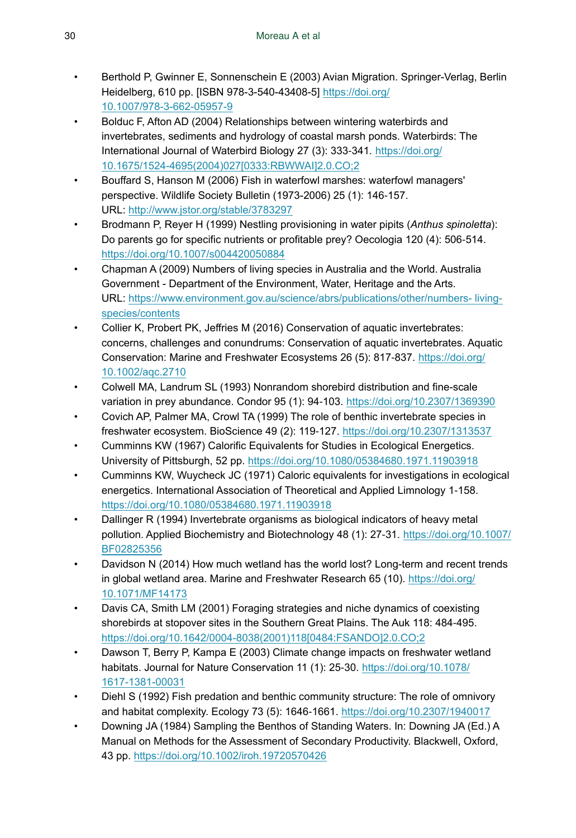- <span id="page-29-13"></span>• Berthold P, Gwinner E, Sonnenschein E (2003) Avian Migration. Springer-Verlag, Berlin Heidelberg, 610 pp. [ISBN 978-3-540-43408-5] [https://doi.org/](https://doi.org/10.1007/978-3-662-05957-9) [10.1007/978-3-662-05957-9](https://doi.org/10.1007/978-3-662-05957-9)
- <span id="page-29-5"></span>• Bolduc F, Afton AD (2004) Relationships between wintering waterbirds and invertebrates, sediments and hydrology of coastal marsh ponds. Waterbirds: The International Journal of Waterbird Biology 27 (3): 333‑341. [https://doi.org/](https://doi.org/10.1675/1524-4695(2004)027%5B0333:RBWWAI%5D2.0.CO;2) [10.1675/1524-4695\(2004\)027\[0333:RBWWAI\]2.0.CO;2](https://doi.org/10.1675/1524-4695(2004)027%5B0333:RBWWAI%5D2.0.CO;2)
- <span id="page-29-4"></span>• Bouffard S, Hanson M (2006) Fish in waterfowl marshes: waterfowl managers' perspective. Wildlife Society Bulletin (1973-2006) 25 (1): 146-157. URL:<http://www.jstor.org/stable/3783297>
- <span id="page-29-8"></span>• Brodmann P, Reyer H (1999) Nestling provisioning in water pipits (*Anthus spinoletta*): Do parents go for specific nutrients or profitable prey? Oecologia 120 (4): 506‑514. <https://doi.org/10.1007/s004420050884>
- <span id="page-29-0"></span>• Chapman A (2009) Numbers of living species in Australia and the World. Australia Government - Department of the Environment, Water, Heritage and the Arts. URL: [https://www.environment.gov.au/science/abrs/publications/other/numbers- living](https://www.environment.gov.au/science/abrs/publications/other/numbers-living-species/contents)[species/contents](https://www.environment.gov.au/science/abrs/publications/other/numbers-living-species/contents)
- <span id="page-29-11"></span>• Collier K, Probert PK, Jeffries M (2016) Conservation of aquatic invertebrates: concerns, challenges and conundrums: Conservation of aquatic invertebrates. Aquatic Conservation: Marine and Freshwater Ecosystems 26 (5): 817-837. [https://doi.org/](https://doi.org/10.1002/aqc.2710) [10.1002/aqc.2710](https://doi.org/10.1002/aqc.2710)
- <span id="page-29-7"></span>• Colwell MA, Landrum SL (1993) Nonrandom shorebird distribution and fine-scale variation in prey abundance. Condor 95 (1): 94‑103. <https://doi.org/10.2307/1369390>
- <span id="page-29-6"></span>• Covich AP, Palmer MA, Crowl TA (1999) The role of benthic invertebrate species in freshwater ecosystem. BioScience 49 (2): 119‑127. <https://doi.org/10.2307/1313537>
- <span id="page-29-15"></span>• Cumminns KW (1967) Calorific Equivalents for Studies in Ecological Energetics. University of Pittsburgh, 52 pp.<https://doi.org/10.1080/05384680.1971.11903918>
- <span id="page-29-12"></span>• Cumminns KW, Wuycheck JC (1971) Caloric equivalents for investigations in ecological energetics. International Association of Theoretical and Applied Limnology 1‑158. <https://doi.org/10.1080/05384680.1971.11903918>
- <span id="page-29-10"></span>• Dallinger R (1994) Invertebrate organisms as biological indicators of heavy metal pollution. Applied Biochemistry and Biotechnology 48 (1): 27-31. [https://doi.org/10.1007/](https://doi.org/10.1007/BF02825356) [BF02825356](https://doi.org/10.1007/BF02825356)
- <span id="page-29-2"></span>• Davidson N (2014) How much wetland has the world lost? Long-term and recent trends in global wetland area. Marine and Freshwater Research 65 (10). [https://doi.org/](https://doi.org/10.1071/MF14173) [10.1071/MF14173](https://doi.org/10.1071/MF14173)
- <span id="page-29-9"></span>• Davis CA, Smith LM (2001) Foraging strategies and niche dynamics of coexisting shorebirds at stopover sites in the Southern Great Plains. The Auk 118: 484‑495. [https://doi.org/10.1642/0004-8038\(2001\)118\[0484:FSANDO\]2.0.CO;2](https://doi.org/10.1642/0004-8038(2001)118%5B0484:FSANDO%5D2.0.CO;2)
- <span id="page-29-1"></span>• Dawson T, Berry P, Kampa E (2003) Climate change impacts on freshwater wetland habitats. Journal for Nature Conservation 11 (1): 25-30. [https://doi.org/10.1078/](https://doi.org/10.1078/1617-1381-00031) [1617-1381-00031](https://doi.org/10.1078/1617-1381-00031)
- <span id="page-29-3"></span>• Diehl S (1992) Fish predation and benthic community structure: The role of omnivory and habitat complexity. Ecology 73 (5): 1646‑1661.<https://doi.org/10.2307/1940017>
- <span id="page-29-14"></span>• Downing JA (1984) Sampling the Benthos of Standing Waters. In: Downing JA (Ed.) A Manual on Methods for the Assessment of Secondary Productivity. Blackwell, Oxford, 43 pp. <https://doi.org/10.1002/iroh.19720570426>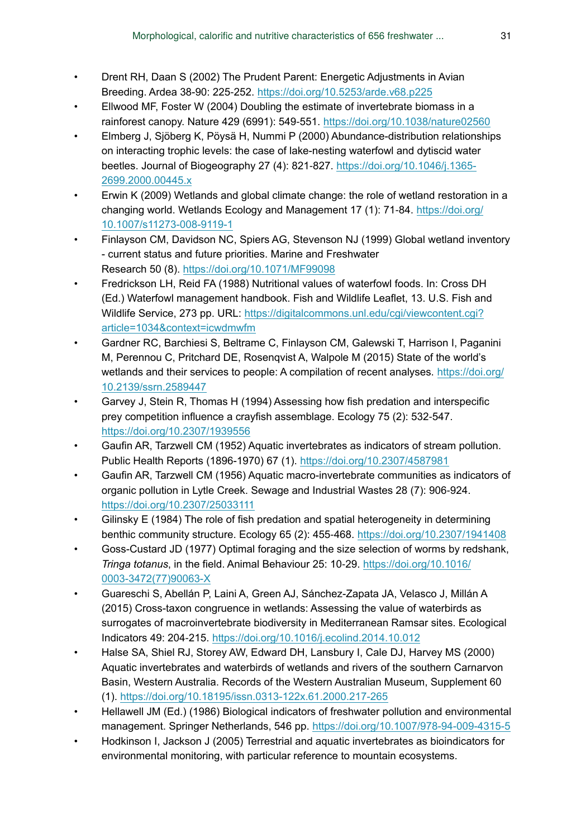- <span id="page-30-15"></span>• Drent RH, Daan S (2002) The Prudent Parent: Energetic Adjustments in Avian Breeding. Ardea 38-90: 225‑252. <https://doi.org/10.5253/arde.v68.p225>
- <span id="page-30-0"></span>• Ellwood MF, Foster W (2004) Doubling the estimate of invertebrate biomass in a rainforest canopy. Nature 429 (6991): 549‑551.<https://doi.org/10.1038/nature02560>
- <span id="page-30-8"></span>• Elmberg J, Sjöberg K, Pöysä H, Nummi P (2000) Abundance-distribution relationships on interacting trophic levels: the case of lake-nesting waterfowl and dytiscid water beetles. Journal of Biogeography 27 (4): 821-827. [https://doi.org/10.1046/j.1365-](https://doi.org/10.1046/j.1365-2699.2000.00445.x) [2699.2000.00445.x](https://doi.org/10.1046/j.1365-2699.2000.00445.x)
- <span id="page-30-2"></span>• Erwin K (2009) Wetlands and global climate change: the role of wetland restoration in a changing world. Wetlands Ecology and Management 17 (1): 71‑84. [https://doi.org/](https://doi.org/10.1007/s11273-008-9119-1) [10.1007/s11273-008-9119-1](https://doi.org/10.1007/s11273-008-9119-1)
- <span id="page-30-3"></span>• Finlayson CM, Davidson NC, Spiers AG, Stevenson NJ (1999) Global wetland inventory - current status and future priorities. Marine and Freshwater Research 50 (8).<https://doi.org/10.1071/MF99098>
- <span id="page-30-11"></span>• Fredrickson LH, Reid FA (1988) Nutritional values of waterfowl foods. In: Cross DH (Ed.) Waterfowl management handbook. Fish and Wildlife Leaflet, 13. U.S. Fish and Wildlife Service, 273 pp. URL: [https://digitalcommons.unl.edu/cgi/viewcontent.cgi?](https://digitalcommons.unl.edu/cgi/viewcontent.cgi?article=1034&context=icwdmwfm) [article=1034&context=icwdmwfm](https://digitalcommons.unl.edu/cgi/viewcontent.cgi?article=1034&context=icwdmwfm)
- <span id="page-30-4"></span>• Gardner RC, Barchiesi S, Beltrame C, Finlayson CM, Galewski T, Harrison I, Paganini M, Perennou C, Pritchard DE, Rosenqvist A, Walpole M (2015) State of the world's wetlands and their services to people: A compilation of recent analyses. [https://doi.org/](https://doi.org/10.2139/ssrn.2589447) [10.2139/ssrn.2589447](https://doi.org/10.2139/ssrn.2589447)
- <span id="page-30-6"></span>• Garvey J, Stein R, Thomas H (1994) Assessing how fish predation and interspecific prey competition influence a crayfish assemblage. Ecology 75 (2): 532‑547. <https://doi.org/10.2307/1939556>
- <span id="page-30-12"></span>• Gaufin AR, Tarzwell CM (1952) Aquatic invertebrates as indicators of stream pollution. Public Health Reports (1896-1970) 67 (1). <https://doi.org/10.2307/4587981>
- <span id="page-30-13"></span>• Gaufin AR, Tarzwell CM (1956) Aquatic macro-invertebrate communities as indicators of organic pollution in Lytle Creek. Sewage and Industrial Wastes 28 (7): 906‑924. <https://doi.org/10.2307/25033111>
- <span id="page-30-5"></span>Gilinsky E (1984) The role of fish predation and spatial heterogeneity in determining benthic community structure. Ecology 65 (2): 455‑468. <https://doi.org/10.2307/1941408>
- <span id="page-30-7"></span>• Goss-Custard JD (1977) Optimal foraging and the size selection of worms by redshank, *Tringa totanus*, in the field. Animal Behaviour 25: 10‑29. [https://doi.org/10.1016/](https://doi.org/10.1016/0003-3472(77)90063-X) [0003-3472\(77\)90063-X](https://doi.org/10.1016/0003-3472(77)90063-X)
- <span id="page-30-10"></span>• Guareschi S, Abellán P, Laini A, Green AJ, Sánchez-Zapata JA, Velasco J, Millán A (2015) Cross-taxon congruence in wetlands: Assessing the value of waterbirds as surrogates of macroinvertebrate biodiversity in Mediterranean Ramsar sites. Ecological Indicators 49: 204‑215.<https://doi.org/10.1016/j.ecolind.2014.10.012>
- <span id="page-30-9"></span>• Halse SA, Shiel RJ, Storey AW, Edward DH, Lansbury I, Cale DJ, Harvey MS (2000) Aquatic invertebrates and waterbirds of wetlands and rivers of the southern Carnarvon Basin, Western Australia. Records of the Western Australian Museum, Supplement 60 (1). <https://doi.org/10.18195/issn.0313-122x.61.2000.217-265>
- <span id="page-30-14"></span>• Hellawell JM (Ed.) (1986) Biological indicators of freshwater pollution and environmental management. Springer Netherlands, 546 pp. <https://doi.org/10.1007/978-94-009-4315-5>
- <span id="page-30-1"></span>• Hodkinson I, Jackson J (2005) Terrestrial and aquatic invertebrates as bioindicators for environmental monitoring, with particular reference to mountain ecosystems.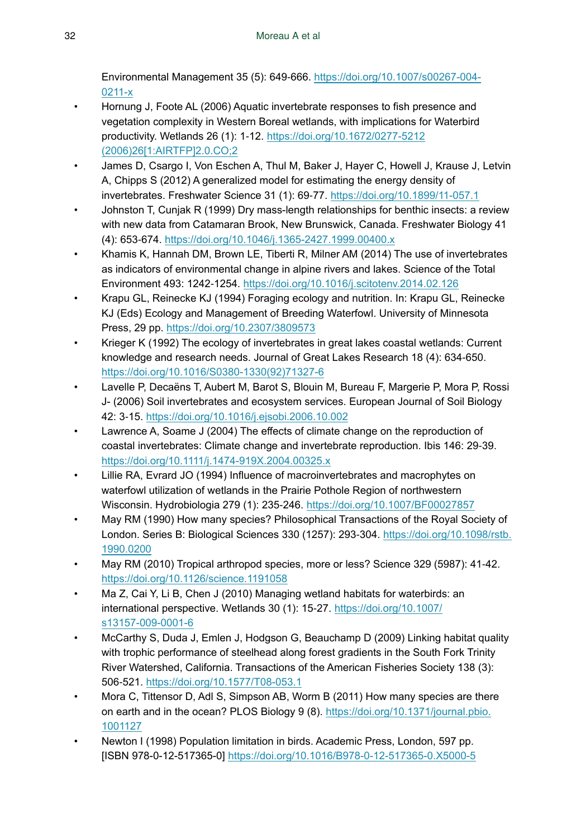Environmental Management 35 (5): 649‑666. [https://doi.org/10.1007/s00267-004-](https://doi.org/10.1007/s00267-004-0211-x) [0211-x](https://doi.org/10.1007/s00267-004-0211-x)

- <span id="page-31-3"></span>• Hornung J, Foote AL (2006) Aquatic invertebrate responses to fish presence and vegetation complexity in Western Boreal wetlands, with implications for Waterbird productivity. Wetlands 26 (1): 1‑12. [https://doi.org/10.1672/0277-5212](https://doi.org/10.1672/0277-5212(2006)26%5B1:AIRTFP%5D2.0.CO;2) [\(2006\)26\[1:AIRTFP\]2.0.CO;2](https://doi.org/10.1672/0277-5212(2006)26%5B1:AIRTFP%5D2.0.CO;2)
- <span id="page-31-10"></span>• James D, Csargo I, Von Eschen A, Thul M, Baker J, Hayer C, Howell J, Krause J, Letvin A, Chipps S (2012) A generalized model for estimating the energy density of invertebrates. Freshwater Science 31 (1): 69‑77.<https://doi.org/10.1899/11-057.1>
- <span id="page-31-14"></span>• Johnston T, Cunjak R (1999) Dry mass-length relationships for benthic insects: a review with new data from Catamaran Brook, New Brunswick, Canada. Freshwater Biology 41 (4): 653‑674. <https://doi.org/10.1046/j.1365-2427.1999.00400.x>
- <span id="page-31-8"></span>• Khamis K, Hannah DM, Brown LE, Tiberti R, Milner AM (2014) The use of invertebrates as indicators of environmental change in alpine rivers and lakes. Science of the Total Environment 493: 1242‑1254.<https://doi.org/10.1016/j.scitotenv.2014.02.126>
- <span id="page-31-13"></span>• Krapu GL, Reinecke KJ (1994) Foraging ecology and nutrition. In: Krapu GL, Reinecke KJ (Eds) Ecology and Management of Breeding Waterfowl. University of Minnesota Press, 29 pp.<https://doi.org/10.2307/3809573>
- <span id="page-31-11"></span>• Krieger K (1992) The ecology of invertebrates in great lakes coastal wetlands: Current knowledge and research needs. Journal of Great Lakes Research 18 (4): 634‑650. [https://doi.org/10.1016/S0380-1330\(92\)71327-6](https://doi.org/10.1016/S0380-1330(92)71327-6)
- <span id="page-31-9"></span>• Lavelle P, Decaëns T, Aubert M, Barot S, Blouin M, Bureau F, Margerie P, Mora P, Rossi J- (2006) Soil invertebrates and ecosystem services. European Journal of Soil Biology 42: 3‑15. <https://doi.org/10.1016/j.ejsobi.2006.10.002>
- <span id="page-31-7"></span>Lawrence A, Soame J (2004) The effects of climate change on the reproduction of coastal invertebrates: Climate change and invertebrate reproduction. Ibis 146: 29‑39. <https://doi.org/10.1111/j.1474-919X.2004.00325.x>
- <span id="page-31-6"></span>• Lillie RA, Evrard JO (1994) Influence of macroinvertebrates and macrophytes on waterfowl utilization of wetlands in the Prairie Pothole Region of northwestern Wisconsin. Hydrobiologia 279 (1): 235-246. <https://doi.org/10.1007/BF00027857>
- <span id="page-31-0"></span>• May RM (1990) How many species? Philosophical Transactions of the Royal Society of London. Series B: Biological Sciences 330 (1257): 293‑304. [https://doi.org/10.1098/rstb.](https://doi.org/10.1098/rstb.1990.0200) [1990.0200](https://doi.org/10.1098/rstb.1990.0200)
- <span id="page-31-1"></span>May RM (2010) Tropical arthropod species, more or less? Science 329 (5987): 41-42. <https://doi.org/10.1126/science.1191058>
- <span id="page-31-5"></span>• Ma Z, Cai Y, Li B, Chen J (2010) Managing wetland habitats for waterbirds: an international perspective. Wetlands 30 (1): 15‑27. [https://doi.org/10.1007/](https://doi.org/10.1007/s13157-009-0001-6) [s13157-009-0001-6](https://doi.org/10.1007/s13157-009-0001-6)
- <span id="page-31-4"></span>• McCarthy S, Duda J, Emlen J, Hodgson G, Beauchamp D (2009) Linking habitat quality with trophic performance of steelhead along forest gradients in the South Fork Trinity River Watershed, California. Transactions of the American Fisheries Society 138 (3): 506‑521. <https://doi.org/10.1577/T08-053.1>
- <span id="page-31-2"></span>• Mora C, Tittensor D, Adl S, Simpson AB, Worm B (2011) How many species are there on earth and in the ocean? PLOS Biology 9 (8). [https://doi.org/10.1371/journal.pbio.](https://doi.org/10.1371/journal.pbio.1001127) [1001127](https://doi.org/10.1371/journal.pbio.1001127)
- <span id="page-31-12"></span>• Newton I (1998) Population limitation in birds. Academic Press, London, 597 pp. [ISBN 978-0-12-517365-0]<https://doi.org/10.1016/B978-0-12-517365-0.X5000-5>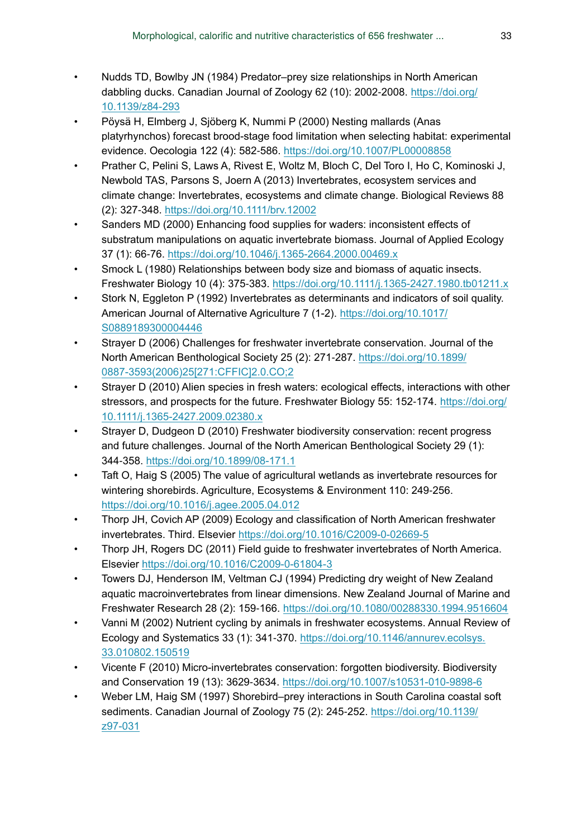- <span id="page-32-6"></span>• Nudds TD, Bowlby JN (1984) Predator–prey size relationships in North American dabbling ducks. Canadian Journal of Zoology 62 (10): 2002-2008. [https://doi.org/](https://doi.org/10.1139/z84-293) [10.1139/z84-293](https://doi.org/10.1139/z84-293)
- <span id="page-32-13"></span>• Pöysä H, Elmberg J, Sjöberg K, Nummi P (2000) Nesting mallards (Anas platyrhynchos) forecast brood-stage food limitation when selecting habitat: experimental evidence. Oecologia 122 (4): 582‑586.<https://doi.org/10.1007/PL00008858>
- <span id="page-32-5"></span>• Prather C, Pelini S, Laws A, Rivest E, Woltz M, Bloch C, Del Toro I, Ho C, Kominoski J, Newbold TAS, Parsons S, Joern A (2013) Invertebrates, ecosystem services and climate change: Invertebrates, ecosystems and climate change. Biological Reviews 88 (2): 327‑348. <https://doi.org/10.1111/brv.12002>
- <span id="page-32-4"></span>Sanders MD (2000) Enhancing food supplies for waders: inconsistent effects of substratum manipulations on aquatic invertebrate biomass. Journal of Applied Ecology 37 (1): 66‑76.<https://doi.org/10.1046/j.1365-2664.2000.00469.x>
- <span id="page-32-15"></span>Smock L (1980) Relationships between body size and biomass of aquatic insects. Freshwater Biology 10 (4): 375‑383.<https://doi.org/10.1111/j.1365-2427.1980.tb01211.x>
- <span id="page-32-1"></span>• Stork N, Eggleton P (1992) Invertebrates as determinants and indicators of soil quality. American Journal of Alternative Agriculture 7 (1-2). [https://doi.org/10.1017/](https://doi.org/10.1017/S0889189300004446) [S0889189300004446](https://doi.org/10.1017/S0889189300004446)
- <span id="page-32-10"></span>• Strayer D (2006) Challenges for freshwater invertebrate conservation. Journal of the North American Benthological Society 25 (2): 271‑287. [https://doi.org/10.1899/](https://doi.org/10.1899/0887-3593(2006)25%5B271:CFFIC%5D2.0.CO;2) [0887-3593\(2006\)25\[271:CFFIC\]2.0.CO;2](https://doi.org/10.1899/0887-3593(2006)25%5B271:CFFIC%5D2.0.CO;2)
- <span id="page-32-8"></span>• Strayer D (2010) Alien species in fresh waters: ecological effects, interactions with other stressors, and prospects for the future. Freshwater Biology 55: 152‑174. [https://doi.org/](https://doi.org/10.1111/j.1365-2427.2009.02380.x) [10.1111/j.1365-2427.2009.02380.x](https://doi.org/10.1111/j.1365-2427.2009.02380.x)
- <span id="page-32-9"></span>• Strayer D, Dudgeon D (2010) Freshwater biodiversity conservation: recent progress and future challenges. Journal of the North American Benthological Society 29 (1): 344‑358. <https://doi.org/10.1899/08-171.1>
- <span id="page-32-2"></span>• Taft O, Haig S (2005) The value of agricultural wetlands as invertebrate resources for wintering shorebirds. Agriculture, Ecosystems & Environment 110: 249-256. <https://doi.org/10.1016/j.agee.2005.04.012>
- <span id="page-32-11"></span>• Thorp JH, Covich AP (2009) Ecology and classification of North American freshwater invertebrates. Third. Elsevier<https://doi.org/10.1016/C2009-0-02669-5>
- <span id="page-32-12"></span>• Thorp JH, Rogers DC (2011) Field guide to freshwater invertebrates of North America. Elsevier<https://doi.org/10.1016/C2009-0-61804-3>
- <span id="page-32-14"></span>• Towers DJ, Henderson IM, Veltman CJ (1994) Predicting dry weight of New Zealand aquatic macroinvertebrates from linear dimensions. New Zealand Journal of Marine and Freshwater Research 28 (2): 159‑166. <https://doi.org/10.1080/00288330.1994.9516604>
- <span id="page-32-0"></span>• Vanni M (2002) Nutrient cycling by animals in freshwater ecosystems. Annual Review of Ecology and Systematics 33 (1): 341‑370. [https://doi.org/10.1146/annurev.ecolsys.](https://doi.org/10.1146/annurev.ecolsys.33.010802.150519) [33.010802.150519](https://doi.org/10.1146/annurev.ecolsys.33.010802.150519)
- <span id="page-32-7"></span>• Vicente F (2010) Micro-invertebrates conservation: forgotten biodiversity. Biodiversity and Conservation 19 (13): 3629‑3634.<https://doi.org/10.1007/s10531-010-9898-6>
- <span id="page-32-3"></span>• Weber LM, Haig SM (1997) Shorebird–prey interactions in South Carolina coastal soft sediments. Canadian Journal of Zoology 75 (2): 245-252. [https://doi.org/10.1139/](https://doi.org/10.1139/z97-031) [z97-031](https://doi.org/10.1139/z97-031)